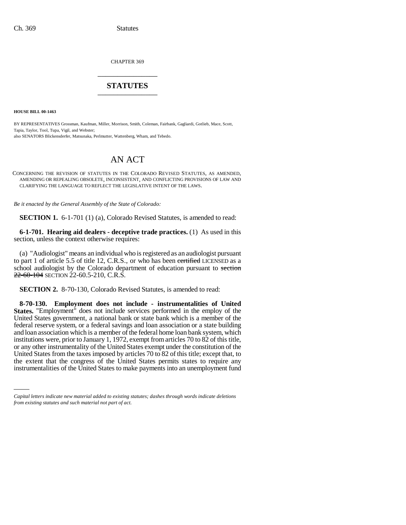CHAPTER 369 \_\_\_\_\_\_\_\_\_\_\_\_\_\_\_

# **STATUTES** \_\_\_\_\_\_\_\_\_\_\_\_\_\_\_

**HOUSE BILL 00-1463** 

BY REPRESENTATIVES Grossman, Kaufman, Miller, Morrison, Smith, Coleman, Fairbank, Gagliardi, Gotlieb, Mace, Scott, Tapia, Taylor, Tool, Tupa, Vigil, and Webster; also SENATORS Blickensderfer, Matsunaka, Perlmutter, Wattenberg, Wham, and Tebedo.

# AN ACT

CONCERNING THE REVISION OF STATUTES IN THE COLORADO REVISED STATUTES, AS AMENDED, AMENDING OR REPEALING OBSOLETE, INCONSISTENT, AND CONFLICTING PROVISIONS OF LAW AND CLARIFYING THE LANGUAGE TO REFLECT THE LEGISLATIVE INTENT OF THE LAWS.

*Be it enacted by the General Assembly of the State of Colorado:*

**SECTION 1.** 6-1-701 (1) (a), Colorado Revised Statutes, is amended to read:

**6-1-701. Hearing aid dealers - deceptive trade practices.** (1) As used in this section, unless the context otherwise requires:

(a) "Audiologist" means an individual who is registered as an audiologist pursuant to part 1 of article 5.5 of title 12, C.R.S., or who has been evertified LICENSED as a school audiologist by the Colorado department of education pursuant to section 22-60-104 SECTION 22-60.5-210, C.R.S.

**SECTION 2.** 8-70-130, Colorado Revised Statutes, is amended to read:

the extent that the congress of the United States permits states to require any **8-70-130. Employment does not include - instrumentalities of United States.** "Employment" does not include services performed in the employ of the United States government, a national bank or state bank which is a member of the federal reserve system, or a federal savings and loan association or a state building and loan association which is a member of the federal home loan bank system, which institutions were, prior to January 1, 1972, exempt from articles 70 to 82 of this title, or any other instrumentality of the United States exempt under the constitution of the United States from the taxes imposed by articles 70 to 82 of this title; except that, to instrumentalities of the United States to make payments into an unemployment fund

*Capital letters indicate new material added to existing statutes; dashes through words indicate deletions from existing statutes and such material not part of act.*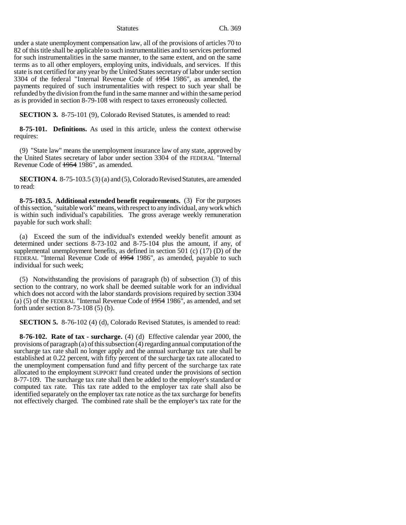under a state unemployment compensation law, all of the provisions of articles 70 to 82 of this title shall be applicable to such instrumentalities and to services performed for such instrumentalities in the same manner, to the same extent, and on the same terms as to all other employers, employing units, individuals, and services. If this state is not certified for any year by the United States secretary of labor under section 3304 of the federal "Internal Revenue Code of 1954 1986", as amended, the payments required of such instrumentalities with respect to such year shall be refunded by the division from the fund in the same manner and within the same period as is provided in section 8-79-108 with respect to taxes erroneously collected.

**SECTION 3.** 8-75-101 (9), Colorado Revised Statutes, is amended to read:

**8-75-101. Definitions.** As used in this article, unless the context otherwise requires:

(9) "State law" means the unemployment insurance law of any state, approved by the United States secretary of labor under section 3304 of the FEDERAL "Internal Revenue Code of <del>1954</del> 1986", as amended.

**SECTION 4.** 8-75-103.5 (3) (a) and (5), Colorado Revised Statutes, are amended to read:

**8-75-103.5. Additional extended benefit requirements.** (3) For the purposes of this section, "suitable work" means, with respect to any individual, any work which is within such individual's capabilities. The gross average weekly remuneration payable for such work shall:

(a) Exceed the sum of the individual's extended weekly benefit amount as determined under sections 8-73-102 and 8-75-104 plus the amount, if any, of supplemental unemployment benefits, as defined in section 501 (c) (17) (D) of the FEDERAL "Internal Revenue Code of  $\frac{1954}{1986}$ ", as amended, payable to such individual for such week;

(5) Notwithstanding the provisions of paragraph (b) of subsection (3) of this section to the contrary, no work shall be deemed suitable work for an individual which does not accord with the labor standards provisions required by section 3304 (a) (5) of the FEDERAL "Internal Revenue Code of 1954 1986", as amended, and set forth under section 8-73-108 (5) (b).

**SECTION 5.** 8-76-102 (4) (d), Colorado Revised Statutes, is amended to read:

**8-76-102. Rate of tax - surcharge.** (4) (d) Effective calendar year 2000, the provisions of paragraph (a) of this subsection (4) regarding annual computation of the surcharge tax rate shall no longer apply and the annual surcharge tax rate shall be established at 0.22 percent, with fifty percent of the surcharge tax rate allocated to the unemployment compensation fund and fifty percent of the surcharge tax rate allocated to the employment SUPPORT fund created under the provisions of section 8-77-109. The surcharge tax rate shall then be added to the employer's standard or computed tax rate. This tax rate added to the employer tax rate shall also be identified separately on the employer tax rate notice as the tax surcharge for benefits not effectively charged. The combined rate shall be the employer's tax rate for the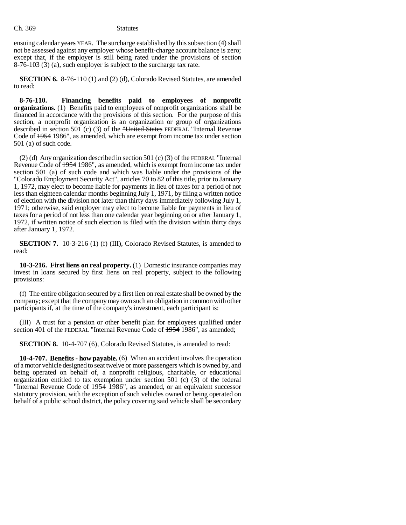ensuing calendar years YEAR. The surcharge established by this subsection (4) shall not be assessed against any employer whose benefit-charge account balance is zero; except that, if the employer is still being rated under the provisions of section 8-76-103 (3) (a), such employer is subject to the surcharge tax rate.

**SECTION 6.** 8-76-110 (1) and (2) (d), Colorado Revised Statutes, are amended to read:

**8-76-110. Financing benefits paid to employees of nonprofit organizations.** (1) Benefits paid to employees of nonprofit organizations shall be financed in accordance with the provisions of this section. For the purpose of this section, a nonprofit organization is an organization or group of organizations described in section 501 (c) (3) of the "United States FEDERAL "Internal Revenue Code of 1954 1986", as amended, which are exempt from income tax under section 501 (a) of such code.

(2) (d) Any organization described in section 501 (c) (3) of the FEDERAL "Internal Revenue Code of  $\frac{1954}{1986}$ , as amended, which is exempt from income tax under section 501 (a) of such code and which was liable under the provisions of the "Colorado Employment Security Act", articles 70 to 82 of this title, prior to January 1, 1972, may elect to become liable for payments in lieu of taxes for a period of not less than eighteen calendar months beginning July 1, 1971, by filing a written notice of election with the division not later than thirty days immediately following July 1, 1971; otherwise, said employer may elect to become liable for payments in lieu of taxes for a period of not less than one calendar year beginning on or after January 1, 1972, if written notice of such election is filed with the division within thirty days after January 1, 1972.

**SECTION 7.** 10-3-216 (1) (f) (III), Colorado Revised Statutes, is amended to read:

**10-3-216. First liens on real property.** (1) Domestic insurance companies may invest in loans secured by first liens on real property, subject to the following provisions:

(f) The entire obligation secured by a first lien on real estate shall be owned by the company; except that the company may own such an obligation in common with other participants if, at the time of the company's investment, each participant is:

(III) A trust for a pension or other benefit plan for employees qualified under section 401 of the FEDERAL "Internal Revenue Code of  $\frac{1954}{1986}$ ", as amended;

**SECTION 8.** 10-4-707 (6), Colorado Revised Statutes, is amended to read:

**10-4-707. Benefits - how payable.** (6) When an accident involves the operation of a motor vehicle designed to seat twelve or more passengers which is owned by, and being operated on behalf of, a nonprofit religious, charitable, or educational organization entitled to tax exemption under section 501 (c) (3) of the federal "Internal Revenue Code of  $\frac{1954}{1986}$ ", as amended, or an equivalent successor statutory provision, with the exception of such vehicles owned or being operated on behalf of a public school district, the policy covering said vehicle shall be secondary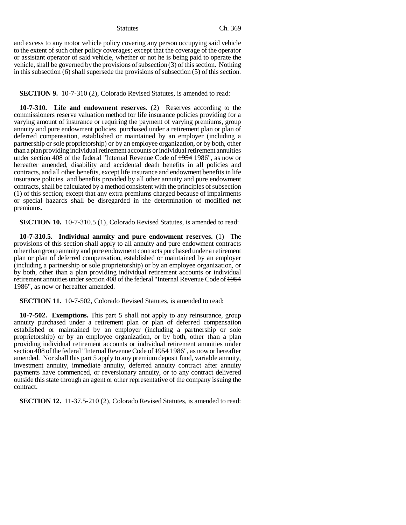and excess to any motor vehicle policy covering any person occupying said vehicle to the extent of such other policy coverages; except that the coverage of the operator or assistant operator of said vehicle, whether or not he is being paid to operate the vehicle, shall be governed by the provisions of subsection (3) of this section. Nothing in this subsection (6) shall supersede the provisions of subsection (5) of this section.

**SECTION 9.** 10-7-310 (2), Colorado Revised Statutes, is amended to read:

**10-7-310. Life and endowment reserves.** (2) Reserves according to the commissioners reserve valuation method for life insurance policies providing for a varying amount of insurance or requiring the payment of varying premiums, group annuity and pure endowment policies purchased under a retirement plan or plan of deferred compensation, established or maintained by an employer (including a partnership or sole proprietorship) or by an employee organization, or by both, other than a plan providing individual retirement accounts or individual retirement annuities under section 408 of the federal "Internal Revenue Code of 1954 1986", as now or hereafter amended, disability and accidental death benefits in all policies and contracts, and all other benefits, except life insurance and endowment benefits in life insurance policies and benefits provided by all other annuity and pure endowment contracts, shall be calculated by a method consistent with the principles of subsection (1) of this section; except that any extra premiums charged because of impairments or special hazards shall be disregarded in the determination of modified net premiums.

**SECTION 10.** 10-7-310.5 (1), Colorado Revised Statutes, is amended to read:

**10-7-310.5. Individual annuity and pure endowment reserves.** (1) The provisions of this section shall apply to all annuity and pure endowment contracts other than group annuity and pure endowment contracts purchased under a retirement plan or plan of deferred compensation, established or maintained by an employer (including a partnership or sole proprietorship) or by an employee organization, or by both, other than a plan providing individual retirement accounts or individual retirement annuities under section 408 of the federal "Internal Revenue Code of 1954 1986", as now or hereafter amended.

**SECTION 11.** 10-7-502, Colorado Revised Statutes, is amended to read:

**10-7-502. Exemptions.** This part 5 shall not apply to any reinsurance, group annuity purchased under a retirement plan or plan of deferred compensation established or maintained by an employer (including a partnership or sole proprietorship) or by an employee organization, or by both, other than a plan providing individual retirement accounts or individual retirement annuities under section 408 of the federal "Internal Revenue Code of 1954 1986", as now or hereafter amended. Nor shall this part 5 apply to any premium deposit fund, variable annuity, investment annuity, immediate annuity, deferred annuity contract after annuity payments have commenced, or reversionary annuity, or to any contract delivered outside this state through an agent or other representative of the company issuing the contract.

**SECTION 12.** 11-37.5-210 (2), Colorado Revised Statutes, is amended to read: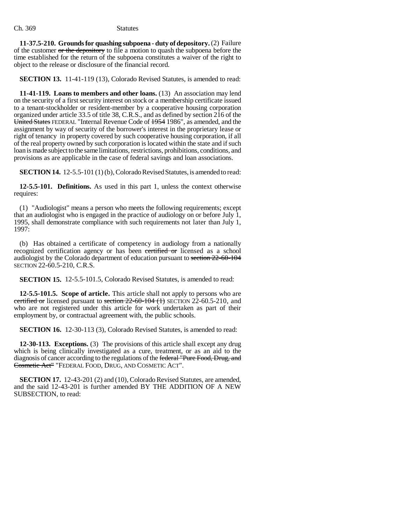**11-37.5-210. Grounds for quashing subpoena - duty of depository.** (2) Failure of the customer or the depository to file a motion to quash the subpoena before the time established for the return of the subpoena constitutes a waiver of the right to object to the release or disclosure of the financial record.

**SECTION 13.** 11-41-119 (13), Colorado Revised Statutes, is amended to read:

**11-41-119. Loans to members and other loans.** (13) An association may lend on the security of a first security interest on stock or a membership certificate issued to a tenant-stockholder or resident-member by a cooperative housing corporation organized under article 33.5 of title 38, C.R.S., and as defined by section 216 of the United States FEDERAL "Internal Revenue Code of 1954 1986", as amended, and the assignment by way of security of the borrower's interest in the proprietary lease or right of tenancy in property covered by such cooperative housing corporation, if all of the real property owned by such corporation is located within the state and if such loan is made subject to the same limitations, restrictions, prohibitions, conditions, and provisions as are applicable in the case of federal savings and loan associations.

**SECTION 14.** 12-5.5-101 (1) (b), Colorado Revised Statutes, is amended to read:

**12-5.5-101. Definitions.** As used in this part 1, unless the context otherwise requires:

(1) "Audiologist" means a person who meets the following requirements; except that an audiologist who is engaged in the practice of audiology on or before July 1, 1995, shall demonstrate compliance with such requirements not later than July 1, 1997:

(b) Has obtained a certificate of competency in audiology from a nationally recognized certification agency or has been certified or licensed as a school audiologist by the Colorado department of education pursuant to section 22-60-104 SECTION 22-60.5-210, C.R.S.

**SECTION 15.** 12-5.5-101.5, Colorado Revised Statutes, is amended to read:

**12-5.5-101.5. Scope of article.** This article shall not apply to persons who are certified or licensed pursuant to section  $22-60-104$  (1) SECTION 22-60.5-210, and who are not registered under this article for work undertaken as part of their employment by, or contractual agreement with, the public schools.

**SECTION 16.** 12-30-113 (3), Colorado Revised Statutes, is amended to read:

**12-30-113. Exceptions.** (3) The provisions of this article shall except any drug which is being clinically investigated as a cure, treatment, or as an aid to the diagnosis of cancer according to the regulations of the federal "Pure Food, Drug, and Cosmetic Act" "FEDERAL FOOD, DRUG, AND COSMETIC ACT".

**SECTION 17.** 12-43-201 (2) and (10), Colorado Revised Statutes, are amended, and the said 12-43-201 is further amended BY THE ADDITION OF A NEW SUBSECTION, to read: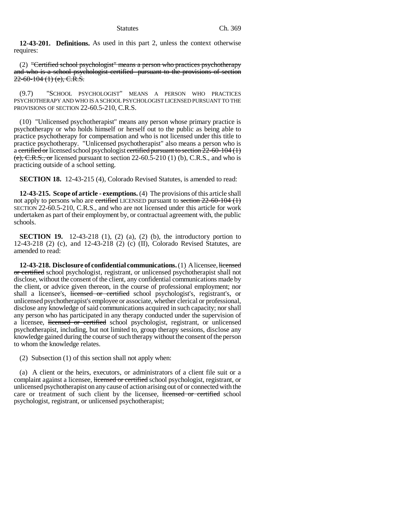**12-43-201. Definitions.** As used in this part 2, unless the context otherwise requires:

(2) "Certified school psychologist" means a person who practices psychotherapy and who is a school psychologist certified pursuant to the provisions of section  $22-60-104(1)$  (e), C.R.S.

(9.7) "SCHOOL PSYCHOLOGIST" MEANS A PERSON WHO PRACTICES PSYCHOTHERAPY AND WHO IS A SCHOOL PSYCHOLOGIST LICENSED PURSUANT TO THE PROVISIONS OF SECTION 22-60.5-210, C.R.S.

(10) "Unlicensed psychotherapist" means any person whose primary practice is psychotherapy or who holds himself or herself out to the public as being able to practice psychotherapy for compensation and who is not licensed under this title to practice psychotherapy. "Unlicensed psychotherapist" also means a person who is a certified or licensed school psychologist certified pursuant to section  $22-60-104$  (1)  $(e)$ , C.R.S., or licensed pursuant to section 22-60.5-210 (1) (b), C.R.S., and who is practicing outside of a school setting.

**SECTION 18.** 12-43-215 (4), Colorado Revised Statutes, is amended to read:

**12-43-215. Scope of article - exemptions.** (4) The provisions of this article shall not apply to persons who are certified LICENSED pursuant to section  $22-60-104$  (1) SECTION 22-60.5-210, C.R.S., and who are not licensed under this article for work undertaken as part of their employment by, or contractual agreement with, the public schools.

**SECTION 19.** 12-43-218 (1), (2) (a), (2) (b), the introductory portion to 12-43-218 (2) (c), and 12-43-218 (2) (c) (II), Colorado Revised Statutes, are amended to read:

**12-43-218.** Disclosure of confidential communications. (1) A licensee, licensed or certified school psychologist, registrant, or unlicensed psychotherapist shall not disclose, without the consent of the client, any confidential communications made by the client, or advice given thereon, in the course of professional employment; nor shall a licensee's, licensed or certified school psychologist's, registrant's, or unlicensed psychotherapist's employee or associate, whether clerical or professional, disclose any knowledge of said communications acquired in such capacity; nor shall any person who has participated in any therapy conducted under the supervision of a licensee, licensed or certified school psychologist, registrant, or unlicensed psychotherapist, including, but not limited to, group therapy sessions, disclose any knowledge gained during the course of such therapy without the consent of the person to whom the knowledge relates.

(2) Subsection (1) of this section shall not apply when:

(a) A client or the heirs, executors, or administrators of a client file suit or a complaint against a licensee, licensed or certified school psychologist, registrant, or unlicensed psychotherapist on any cause of action arising out of or connected with the care or treatment of such client by the licensee, licensed or certified school psychologist, registrant, or unlicensed psychotherapist;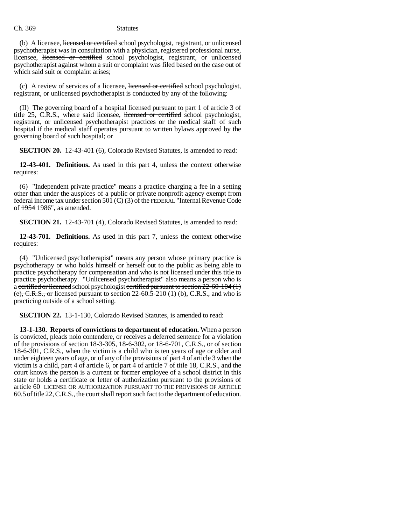(b) A licensee, licensed or certified school psychologist, registrant, or unlicensed psychotherapist was in consultation with a physician, registered professional nurse, licensee, licensed or certified school psychologist, registrant, or unlicensed psychotherapist against whom a suit or complaint was filed based on the case out of which said suit or complaint arises;

(c) A review of services of a licensee, licensed or certified school psychologist, registrant, or unlicensed psychotherapist is conducted by any of the following:

(II) The governing board of a hospital licensed pursuant to part 1 of article 3 of title 25, C.R.S., where said licensee, licensed or certified school psychologist, registrant, or unlicensed psychotherapist practices or the medical staff of such hospital if the medical staff operates pursuant to written bylaws approved by the governing board of such hospital; or

**SECTION 20.** 12-43-401 (6), Colorado Revised Statutes, is amended to read:

**12-43-401. Definitions.** As used in this part 4, unless the context otherwise requires:

(6) "Independent private practice" means a practice charging a fee in a setting other than under the auspices of a public or private nonprofit agency exempt from federal income tax under section 501 (C) (3) of the FEDERAL "Internal Revenue Code of 1954 1986", as amended.

**SECTION 21.** 12-43-701 (4), Colorado Revised Statutes, is amended to read:

**12-43-701. Definitions.** As used in this part 7, unless the context otherwise requires:

(4) "Unlicensed psychotherapist" means any person whose primary practice is psychotherapy or who holds himself or herself out to the public as being able to practice psychotherapy for compensation and who is not licensed under this title to practice psychotherapy. "Unlicensed psychotherapist" also means a person who is a certified or licensed school psychologist certified pursuant to section 22-60-104 (1)  $(e)$ , C.R.S., or licensed pursuant to section 22-60.5-210 (1) (b), C.R.S., and who is practicing outside of a school setting.

**SECTION 22.** 13-1-130, Colorado Revised Statutes, is amended to read:

**13-1-130. Reports of convictions to department of education.** When a person is convicted, pleads nolo contendere, or receives a deferred sentence for a violation of the provisions of section 18-3-305, 18-6-302, or 18-6-701, C.R.S., or of section 18-6-301, C.R.S., when the victim is a child who is ten years of age or older and under eighteen years of age, or of any of the provisions of part 4 of article 3 when the victim is a child, part 4 of article 6, or part 4 of article 7 of title 18, C.R.S., and the court knows the person is a current or former employee of a school district in this state or holds a certificate or letter of authorization pursuant to the provisions of article 60 LICENSE OR AUTHORIZATION PURSUANT TO THE PROVISIONS OF ARTICLE 60.5of title 22, C.R.S., the court shall report such fact to the department of education.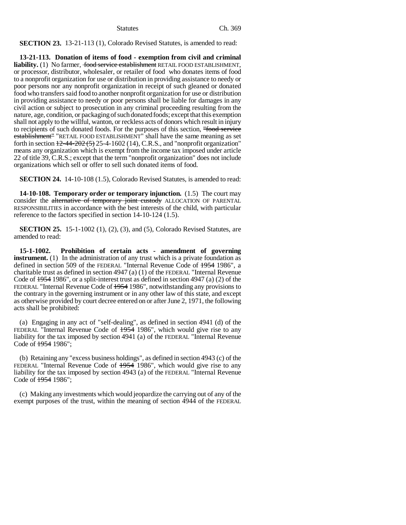**SECTION 23.** 13-21-113 (1), Colorado Revised Statutes, is amended to read:

**13-21-113. Donation of items of food - exemption from civil and criminal** liability. (1) No farmer, food service establishment RETAIL FOOD ESTABLISHMENT, or processor, distributor, wholesaler, or retailer of food who donates items of food to a nonprofit organization for use or distribution in providing assistance to needy or poor persons nor any nonprofit organization in receipt of such gleaned or donated food who transfers said food to another nonprofit organization for use or distribution in providing assistance to needy or poor persons shall be liable for damages in any civil action or subject to prosecution in any criminal proceeding resulting from the nature, age, condition, or packaging of such donated foods; except that this exemption shall not apply to the willful, wanton, or reckless acts of donors which result in injury to recipients of such donated foods. For the purposes of this section, "food service establishment" "RETAIL FOOD ESTABLISHMENT" shall have the same meaning as set forth in section  $\frac{12-44-202(5)}{25-4-1602(14)}$ , C.R.S., and "nonprofit organization" means any organization which is exempt from the income tax imposed under article 22 of title 39, C.R.S.; except that the term "nonprofit organization" does not include organizations which sell or offer to sell such donated items of food.

**SECTION 24.** 14-10-108 (1.5), Colorado Revised Statutes, is amended to read:

**14-10-108. Temporary order or temporary injunction.** (1.5) The court may consider the alternative of temporary joint custody ALLOCATION OF PARENTAL RESPONSIBILITIES in accordance with the best interests of the child, with particular reference to the factors specified in section 14-10-124 (1.5).

**SECTION 25.** 15-1-1002 (1), (2), (3), and (5), Colorado Revised Statutes, are amended to read:

**15-1-1002. Prohibition of certain acts - amendment of governing instrument.** (1) In the administration of any trust which is a private foundation as defined in section 509 of the FEDERAL "Internal Revenue Code of 1954 1986", a charitable trust as defined in section 4947 (a) (1) of the FEDERAL "Internal Revenue Code of  $\frac{1954}{1986}$ , or a split-interest trust as defined in section 4947 (a) (2) of the FEDERAL "Internal Revenue Code of  $+954$  1986", notwithstanding any provisions to the contrary in the governing instrument or in any other law of this state, and except as otherwise provided by court decree entered on or after June 2, 1971, the following acts shall be prohibited:

(a) Engaging in any act of "self-dealing", as defined in section 4941 (d) of the FEDERAL "Internal Revenue Code of  $\frac{1954}{1986}$ ", which would give rise to any liability for the tax imposed by section 4941 (a) of the FEDERAL "Internal Revenue Code of 1954 1986";

(b) Retaining any "excess business holdings", as defined in section 4943 (c) of the FEDERAL "Internal Revenue Code of 1954 1986", which would give rise to any liability for the tax imposed by section 4943 (a) of the FEDERAL "Internal Revenue Code of 1954 1986";

(c) Making any investments which would jeopardize the carrying out of any of the exempt purposes of the trust, within the meaning of section 4944 of the FEDERAL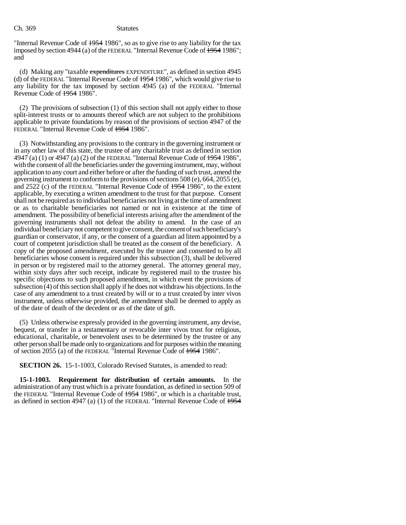"Internal Revenue Code of 1954 1986", so as to give rise to any liability for the tax imposed by section 4944 (a) of the FEDERAL "Internal Revenue Code of  $\frac{1954}{1954}$  1986"; and

(d) Making any "taxable expenditures EXPENDITURE", as defined in section 4945 (d) of the FEDERAL "Internal Revenue Code of 1954 1986", which would give rise to any liability for the tax imposed by section 4945 (a) of the FEDERAL "Internal Revenue Code of 1954 1986".

(2) The provisions of subsection (1) of this section shall not apply either to those split-interest trusts or to amounts thereof which are not subject to the prohibitions applicable to private foundations by reason of the provisions of section 4947 of the FEDERAL "Internal Revenue Code of 1954 1986".

(3) Notwithstanding any provisions to the contrary in the governing instrument or in any other law of this state, the trustee of any charitable trust as defined in section 4947 (a) (1) or 4947 (a) (2) of the FEDERAL "Internal Revenue Code of  $\frac{1954}{1954}$  1986", with the consent of all the beneficiaries under the governing instrument, may, without application to any court and either before or after the funding of such trust, amend the governing instrument to conform to the provisions of sections 508 (e), 664, 2055 (e), and 2522 (c) of the FEDERAL "Internal Revenue Code of 1954 1986", to the extent applicable, by executing a written amendment to the trust for that purpose. Consent shall not be required as to individual beneficiaries not living at the time of amendment or as to charitable beneficiaries not named or not in existence at the time of amendment. The possibility of beneficial interests arising after the amendment of the governing instruments shall not defeat the ability to amend. In the case of an individual beneficiary not competent to give consent, the consent of such beneficiary's guardian or conservator, if any, or the consent of a guardian ad litem appointed by a court of competent jurisdiction shall be treated as the consent of the beneficiary. A copy of the proposed amendment, executed by the trustee and consented to by all beneficiaries whose consent is required under this subsection (3), shall be delivered in person or by registered mail to the attorney general. The attorney general may, within sixty days after such receipt, indicate by registered mail to the trustee his specific objections to such proposed amendment, in which event the provisions of subsection (4) of this section shall apply if he does not withdraw his objections. In the case of any amendment to a trust created by will or to a trust created by inter vivos instrument, unless otherwise provided, the amendment shall be deemed to apply as of the date of death of the decedent or as of the date of gift.

(5) Unless otherwise expressly provided in the governing instrument, any devise, bequest, or transfer in a testamentary or revocable inter vivos trust for religious, educational, charitable, or benevolent uses to be determined by the trustee or any other person shall be made only to organizations and for purposes within the meaning of section 2055 (a) of the FEDERAL "Internal Revenue Code of 1954 1986".

**SECTION 26.** 15-1-1003, Colorado Revised Statutes, is amended to read:

**15-1-1003. Requirement for distribution of certain amounts.** In the administration of any trust which is a private foundation, as defined in section 509 of the FEDERAL "Internal Revenue Code of 1954 1986", or which is a charitable trust, as defined in section 4947 (a) (1) of the FEDERAL "Internal Revenue Code of  $\frac{1954}{2}$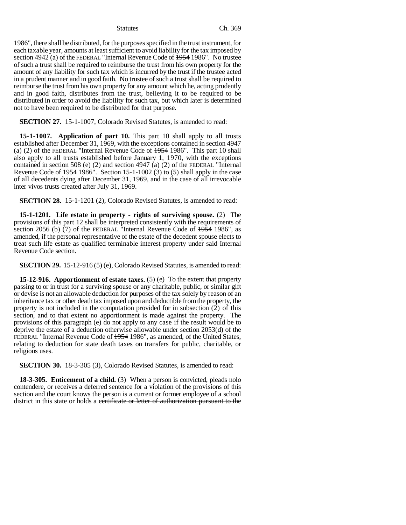1986", there shall be distributed, for the purposes specified in the trust instrument, for each taxable year, amounts at least sufficient to avoid liability for the tax imposed by section 4942 (a) of the FEDERAL "Internal Revenue Code of  $\frac{1954}{1986}$ ". No trustee of such a trust shall be required to reimburse the trust from his own property for the amount of any liability for such tax which is incurred by the trust if the trustee acted in a prudent manner and in good faith. No trustee of such a trust shall be required to reimburse the trust from his own property for any amount which he, acting prudently and in good faith, distributes from the trust, believing it to be required to be distributed in order to avoid the liability for such tax, but which later is determined not to have been required to be distributed for that purpose.

**SECTION 27.** 15-1-1007, Colorado Revised Statutes, is amended to read:

**15-1-1007. Application of part 10.** This part 10 shall apply to all trusts established after December 31, 1969, with the exceptions contained in section 4947 (a) (2) of the FEDERAL "Internal Revenue Code of 1954 1986". This part 10 shall also apply to all trusts established before January 1, 1970, with the exceptions contained in section 508 (e) (2) and section 4947 (a) (2) of the FEDERAL "Internal Revenue Code of  $\frac{1954}{1986}$ . Section 15-1-1002 (3) to (5) shall apply in the case of all decedents dying after December 31, 1969, and in the case of all irrevocable inter vivos trusts created after July 31, 1969.

**SECTION 28.** 15-1-1201 (2), Colorado Revised Statutes, is amended to read:

**15-1-1201. Life estate in property - rights of surviving spouse.** (2) The provisions of this part 12 shall be interpreted consistently with the requirements of section 2056 (b)  $(7)$  of the FEDERAL "Internal Revenue Code of  $\frac{1954}{1986}$ ", as amended, if the personal representative of the estate of the decedent spouse elects to treat such life estate as qualified terminable interest property under said Internal Revenue Code section.

**SECTION 29.** 15-12-916 (5) (e), Colorado Revised Statutes, is amended to read:

**15-12-916.** Apportionment of estate taxes. (5) (e) To the extent that property passing to or in trust for a surviving spouse or any charitable, public, or similar gift or devise is not an allowable deduction for purposes of the tax solely by reason of an inheritance tax or other death tax imposed upon and deductible from the property, the property is not included in the computation provided for in subsection (2) of this section, and to that extent no apportionment is made against the property. The provisions of this paragraph (e) do not apply to any case if the result would be to deprive the estate of a deduction otherwise allowable under section 2053(d) of the FEDERAL "Internal Revenue Code of 1954 1986", as amended, of the United States, relating to deduction for state death taxes on transfers for public, charitable, or religious uses.

**SECTION 30.** 18-3-305 (3), Colorado Revised Statutes, is amended to read:

**18-3-305. Enticement of a child.** (3) When a person is convicted, pleads nolo contendere, or receives a deferred sentence for a violation of the provisions of this section and the court knows the person is a current or former employee of a school district in this state or holds a certificate or letter of authorization pursuant to the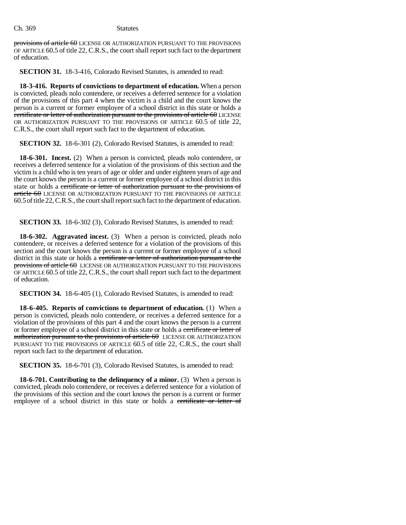provisions of article 60 LICENSE OR AUTHORIZATION PURSUANT TO THE PROVISIONS OF ARTICLE 60.5 of title 22, C.R.S., the court shall report such fact to the department of education.

**SECTION 31.** 18-3-416, Colorado Revised Statutes, is amended to read:

**18-3-416. Reports of convictions to department of education.** When a person is convicted, pleads nolo contendere, or receives a deferred sentence for a violation of the provisions of this part 4 when the victim is a child and the court knows the person is a current or former employee of a school district in this state or holds a certificate or letter of authorization pursuant to the provisions of article 60 LICENSE OR AUTHORIZATION PURSUANT TO THE PROVISIONS OF ARTICLE 60.5 of title 22, C.R.S., the court shall report such fact to the department of education.

**SECTION 32.** 18-6-301 (2), Colorado Revised Statutes, is amended to read:

**18-6-301. Incest.** (2) When a person is convicted, pleads nolo contendere, or receives a deferred sentence for a violation of the provisions of this section and the victim is a child who is ten years of age or older and under eighteen years of age and the court knows the person is a current or former employee of a school district in this state or holds a certificate or letter of authorization pursuant to the provisions of  $article$   $60$  LICENSE OR AUTHORIZATION PURSUANT TO THE PROVISIONS OF ARTICLE 60.5of title 22, C.R.S., the court shall report such fact to the department of education.

**SECTION 33.** 18-6-302 (3), Colorado Revised Statutes, is amended to read:

**18-6-302. Aggravated incest.** (3) When a person is convicted, pleads nolo contendere, or receives a deferred sentence for a violation of the provisions of this section and the court knows the person is a current or former employee of a school district in this state or holds a certificate or letter of authorization pursuant to the provisions of article 60 LICENSE OR AUTHORIZATION PURSUANT TO THE PROVISIONS OF ARTICLE 60.5 of title 22, C.R.S., the court shall report such fact to the department of education.

**SECTION 34.** 18-6-405 (1), Colorado Revised Statutes, is amended to read:

**18-6-405. Reports of convictions to department of education.** (1) When a person is convicted, pleads nolo contendere, or receives a deferred sentence for a violation of the provisions of this part 4 and the court knows the person is a current or former employee of a school district in this state or holds a certificate or letter of authorization pursuant to the provisions of article 60 LICENSE OR AUTHORIZATION PURSUANT TO THE PROVISIONS OF ARTICLE 60.5 of title 22, C.R.S., the court shall report such fact to the department of education.

**SECTION 35.** 18-6-701 (3), Colorado Revised Statutes, is amended to read:

**18-6-701. Contributing to the delinquency of a minor.** (3) When a person is convicted, pleads nolo contendere, or receives a deferred sentence for a violation of the provisions of this section and the court knows the person is a current or former employee of a school district in this state or holds a certificate or letter of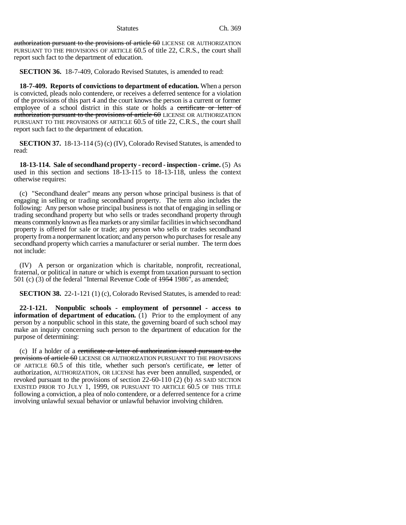authorization pursuant to the provisions of article 60 LICENSE OR AUTHORIZATION PURSUANT TO THE PROVISIONS OF ARTICLE 60.5 of title 22, C.R.S., the court shall report such fact to the department of education.

**SECTION 36.** 18-7-409, Colorado Revised Statutes, is amended to read:

**18-7-409. Reports of convictions to department of education.** When a person is convicted, pleads nolo contendere, or receives a deferred sentence for a violation of the provisions of this part 4 and the court knows the person is a current or former employee of a school district in this state or holds a certificate or letter of authorization pursuant to the provisions of article 60 LICENSE OR AUTHORIZATION PURSUANT TO THE PROVISIONS OF ARTICLE 60.5 of title 22, C.R.S., the court shall report such fact to the department of education.

**SECTION 37.** 18-13-114 (5) (c) (IV), Colorado Revised Statutes, is amended to read:

**18-13-114. Sale of secondhand property - record - inspection - crime.** (5) As used in this section and sections 18-13-115 to 18-13-118, unless the context otherwise requires:

(c) "Secondhand dealer" means any person whose principal business is that of engaging in selling or trading secondhand property. The term also includes the following: Any person whose principal business is not that of engaging in selling or trading secondhand property but who sells or trades secondhand property through means commonly known as flea markets or any similar facilities in which secondhand property is offered for sale or trade; any person who sells or trades secondhand property from a nonpermanent location; and any person who purchases for resale any secondhand property which carries a manufacturer or serial number. The term does not include:

(IV) A person or organization which is charitable, nonprofit, recreational, fraternal, or political in nature or which is exempt from taxation pursuant to section 501 (c) (3) of the federal "Internal Revenue Code of 1954 1986", as amended;

**SECTION 38.** 22-1-121 (1) (c), Colorado Revised Statutes, is amended to read:

**22-1-121. Nonpublic schools - employment of personnel - access to information of department of education.** (1) Prior to the employment of any person by a nonpublic school in this state, the governing board of such school may make an inquiry concerning such person to the department of education for the purpose of determining:

(c) If a holder of a certificate or letter of authorization issued pursuant to the provisions of article 60 LICENSE OR AUTHORIZATION PURSUANT TO THE PROVISIONS OF ARTICLE  $60.5$  of this title, whether such person's certificate,  $\sigma$  letter of authorization, AUTHORIZATION, OR LICENSE has ever been annulled, suspended, or revoked pursuant to the provisions of section 22-60-110 (2) (b) AS SAID SECTION EXISTED PRIOR TO JULY 1, 1999, OR PURSUANT TO ARTICLE 60.5 OF THIS TITLE following a conviction, a plea of nolo contendere, or a deferred sentence for a crime involving unlawful sexual behavior or unlawful behavior involving children.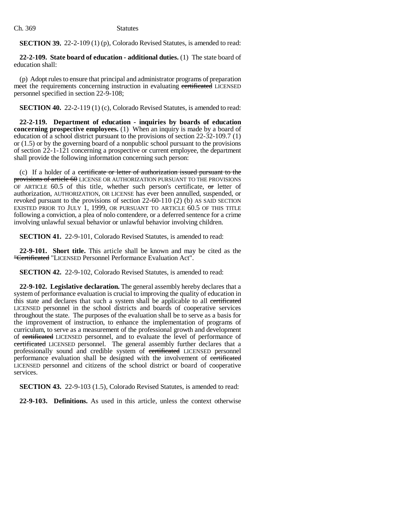**SECTION 39.** 22-2-109 (1) (p), Colorado Revised Statutes, is amended to read:

**22-2-109. State board of education - additional duties.** (1) The state board of education shall:

(p) Adopt rules to ensure that principal and administrator programs of preparation meet the requirements concerning instruction in evaluating certificated LICENSED personnel specified in section 22-9-108;

**SECTION 40.** 22-2-119 (1) (c), Colorado Revised Statutes, is amended to read:

**22-2-119. Department of education - inquiries by boards of education concerning prospective employees.** (1) When an inquiry is made by a board of education of a school district pursuant to the provisions of section 22-32-109.7 (1) or (1.5) or by the governing board of a nonpublic school pursuant to the provisions of section 22-1-121 concerning a prospective or current employee, the department shall provide the following information concerning such person:

(c) If a holder of a certificate or letter of authorization issued pursuant to the provisions of article 60 LICENSE OR AUTHORIZATION PURSUANT TO THE PROVISIONS OF ARTICLE  $60.5$  of this title, whether such person's certificate,  $\sigma$ r letter of authorization, AUTHORIZATION, OR LICENSE has ever been annulled, suspended, or revoked pursuant to the provisions of section 22-60-110 (2) (b) AS SAID SECTION EXISTED PRIOR TO JULY 1, 1999, OR PURSUANT TO ARTICLE 60.5 OF THIS TITLE following a conviction, a plea of nolo contendere, or a deferred sentence for a crime involving unlawful sexual behavior or unlawful behavior involving children.

**SECTION 41.** 22-9-101, Colorado Revised Statutes, is amended to read:

**22-9-101. Short title.** This article shall be known and may be cited as the "Certificated "LICENSED Personnel Performance Evaluation Act".

**SECTION 42.** 22-9-102, Colorado Revised Statutes, is amended to read:

**22-9-102. Legislative declaration.** The general assembly hereby declares that a system of performance evaluation is crucial to improving the quality of education in this state and declares that such a system shall be applicable to all certificated LICENSED personnel in the school districts and boards of cooperative services throughout the state. The purposes of the evaluation shall be to serve as a basis for the improvement of instruction, to enhance the implementation of programs of curriculum, to serve as a measurement of the professional growth and development of certificated LICENSED personnel, and to evaluate the level of performance of certificated LICENSED personnel. The general assembly further declares that a professionally sound and credible system of certificated LICENSED personnel performance evaluation shall be designed with the involvement of certificated LICENSED personnel and citizens of the school district or board of cooperative services.

**SECTION 43.** 22-9-103 (1.5), Colorado Revised Statutes, is amended to read:

**22-9-103. Definitions.** As used in this article, unless the context otherwise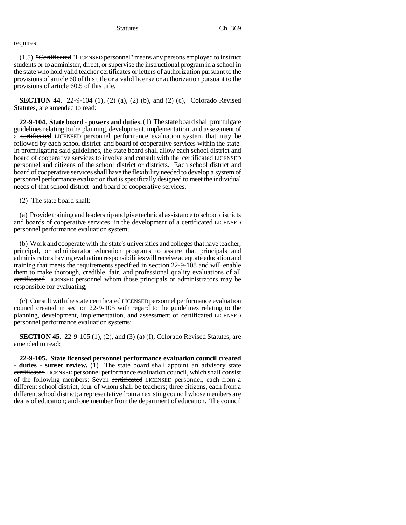# requires:

 $(1.5)$  "Certificated "LICENSED personnel" means any persons employed to instruct students or to administer, direct, or supervise the instructional program in a school in the state who hold valid teacher certificates or letters of authorization pursuant to the provisions of article 60 of this title or a valid license or authorization pursuant to the provisions of article 60.5 of this title.

**SECTION 44.** 22-9-104 (1), (2) (a), (2) (b), and (2) (c), Colorado Revised Statutes, are amended to read:

**22-9-104. State board - powers and duties.** (1) The state board shall promulgate guidelines relating to the planning, development, implementation, and assessment of a certificated LICENSED personnel performance evaluation system that may be followed by each school district and board of cooperative services within the state. In promulgating said guidelines, the state board shall allow each school district and board of cooperative services to involve and consult with the certificated LICENSED personnel and citizens of the school district or districts. Each school district and board of cooperative services shall have the flexibility needed to develop a system of personnel performance evaluation that is specifically designed to meet the individual needs of that school district and board of cooperative services.

(2) The state board shall:

(a) Provide training and leadership and give technical assistance to school districts and boards of cooperative services in the development of a certificated LICENSED personnel performance evaluation system;

(b) Work and cooperate with the state's universities and colleges that have teacher, principal, or administrator education programs to assure that principals and administrators having evaluation responsibilities will receive adequate education and training that meets the requirements specified in section 22-9-108 and will enable them to make thorough, credible, fair, and professional quality evaluations of all certificated LICENSED personnel whom those principals or administrators may be responsible for evaluating;

(c) Consult with the state certificated LICENSED personnel performance evaluation council created in section 22-9-105 with regard to the guidelines relating to the planning, development, implementation, and assessment of certificated LICENSED personnel performance evaluation systems;

**SECTION 45.** 22-9-105 (1), (2), and (3) (a) (I), Colorado Revised Statutes, are amended to read:

**22-9-105. State licensed personnel performance evaluation council created - duties - sunset review.** (1) The state board shall appoint an advisory state certificated LICENSED personnel performance evaluation council, which shall consist of the following members: Seven certificated LICENSED personnel, each from a different school district, four of whom shall be teachers; three citizens, each from a different school district; a representative from an existing council whose members are deans of education; and one member from the department of education. The council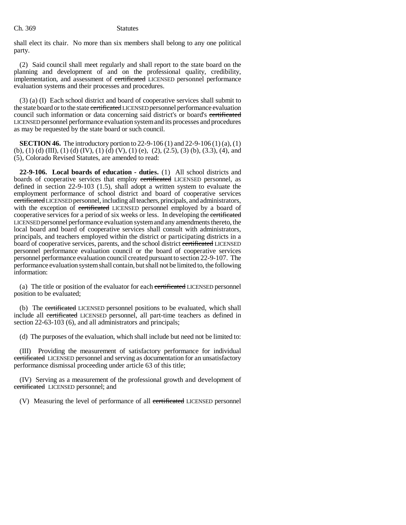shall elect its chair. No more than six members shall belong to any one political party.

(2) Said council shall meet regularly and shall report to the state board on the planning and development of and on the professional quality, credibility, implementation, and assessment of certificated LICENSED personnel performance evaluation systems and their processes and procedures.

(3) (a) (I) Each school district and board of cooperative services shall submit to the state board or to the state certificated LICENSED personnel performance evaluation council such information or data concerning said district's or board's certificated LICENSED personnel performance evaluation system and its processes and procedures as may be requested by the state board or such council.

**SECTION 46.** The introductory portion to 22-9-106 (1) and 22-9-106 (1) (a), (1) (b), (1) (d) (III), (1) (d) (IV), (1) (d) (V), (1) (e), (2), (2.5), (3) (b), (3.3), (4), and (5), Colorado Revised Statutes, are amended to read:

**22-9-106. Local boards of education - duties.** (1) All school districts and boards of cooperative services that employ certificated LICENSED personnel, as defined in section 22-9-103 (1.5), shall adopt a written system to evaluate the employment performance of school district and board of cooperative services certificated LICENSED personnel, including all teachers, principals, and administrators, with the exception of certificated LICENSED personnel employed by a board of cooperative services for a period of six weeks or less. In developing the certificated LICENSED personnel performance evaluation system and any amendments thereto, the local board and board of cooperative services shall consult with administrators, principals, and teachers employed within the district or participating districts in a board of cooperative services, parents, and the school district certificated LICENSED personnel performance evaluation council or the board of cooperative services personnel performance evaluation council created pursuant to section 22-9-107. The performance evaluation system shall contain, but shall not be limited to, the following information:

(a) The title or position of the evaluator for each certificated LICENSED personnel position to be evaluated;

(b) The certificated LICENSED personnel positions to be evaluated, which shall include all certificated LICENSED personnel, all part-time teachers as defined in section 22-63-103 (6), and all administrators and principals;

(d) The purposes of the evaluation, which shall include but need not be limited to:

(III) Providing the measurement of satisfactory performance for individual certificated LICENSED personnel and serving as documentation for an unsatisfactory performance dismissal proceeding under article 63 of this title;

(IV) Serving as a measurement of the professional growth and development of certificated LICENSED personnel; and

(V) Measuring the level of performance of all certificated LICENSED personnel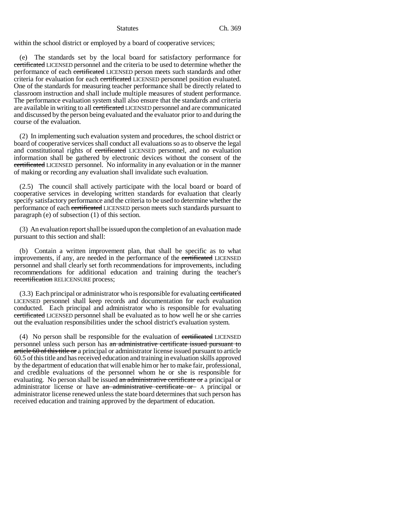within the school district or employed by a board of cooperative services;

(e) The standards set by the local board for satisfactory performance for certificated LICENSED personnel and the criteria to be used to determine whether the performance of each certificated LICENSED person meets such standards and other criteria for evaluation for each certificated LICENSED personnel position evaluated. One of the standards for measuring teacher performance shall be directly related to classroom instruction and shall include multiple measures of student performance. The performance evaluation system shall also ensure that the standards and criteria are available in writing to all certificated LICENSED personnel and are communicated and discussed by the person being evaluated and the evaluator prior to and during the course of the evaluation.

(2) In implementing such evaluation system and procedures, the school district or board of cooperative services shall conduct all evaluations so as to observe the legal and constitutional rights of certificated LICENSED personnel, and no evaluation information shall be gathered by electronic devices without the consent of the certificated LICENSED personnel. No informality in any evaluation or in the manner of making or recording any evaluation shall invalidate such evaluation.

(2.5) The council shall actively participate with the local board or board of cooperative services in developing written standards for evaluation that clearly specify satisfactory performance and the criteria to be used to determine whether the performance of each certificated LICENSED person meets such standards pursuant to paragraph (e) of subsection (1) of this section.

(3) An evaluation report shall be issued upon the completion of an evaluation made pursuant to this section and shall:

(b) Contain a written improvement plan, that shall be specific as to what improvements, if any, are needed in the performance of the certificated LICENSED personnel and shall clearly set forth recommendations for improvements, including recommendations for additional education and training during the teacher's recertification RELICENSURE process;

(3.3) Each principal or administrator who is responsible for evaluating certificated LICENSED personnel shall keep records and documentation for each evaluation conducted. Each principal and administrator who is responsible for evaluating certificated LICENSED personnel shall be evaluated as to how well he or she carries out the evaluation responsibilities under the school district's evaluation system.

(4) No person shall be responsible for the evaluation of eertificated LICENSED personnel unless such person has an administrative certificate issued pursuant to article 60 of this title or a principal or administrator license issued pursuant to article 60.5 of this title and has received education and training in evaluation skills approved by the department of education that will enable him or her to make fair, professional, and credible evaluations of the personnel whom he or she is responsible for evaluating. No person shall be issued an administrative certificate or a principal or administrator license or have an administrative certificate or A principal or administrator license renewed unless the state board determines that such person has received education and training approved by the department of education.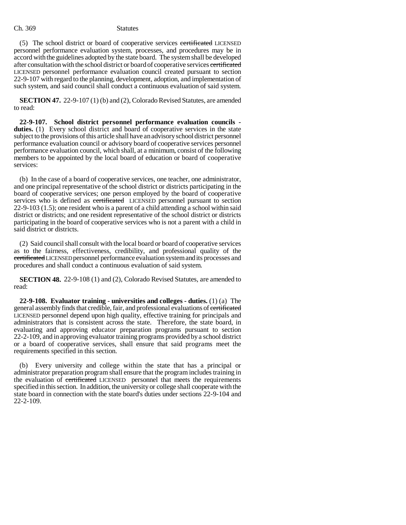(5) The school district or board of cooperative services certificated LICENSED personnel performance evaluation system, processes, and procedures may be in accord with the guidelines adopted by the state board. The system shall be developed after consultation with the school district or board of cooperative services certificated LICENSED personnel performance evaluation council created pursuant to section 22-9-107 with regard to the planning, development, adoption, and implementation of such system, and said council shall conduct a continuous evaluation of said system.

**SECTION 47.** 22-9-107 (1) (b) and (2), Colorado Revised Statutes, are amended to read:

**22-9-107. School district personnel performance evaluation councils duties.** (1) Every school district and board of cooperative services in the state subject to the provisions of this article shall have an advisory school district personnel performance evaluation council or advisory board of cooperative services personnel performance evaluation council, which shall, at a minimum, consist of the following members to be appointed by the local board of education or board of cooperative services:

(b) In the case of a board of cooperative services, one teacher, one administrator, and one principal representative of the school district or districts participating in the board of cooperative services; one person employed by the board of cooperative services who is defined as certificated LICENSED personnel pursuant to section 22-9-103 (1.5); one resident who is a parent of a child attending a school within said district or districts; and one resident representative of the school district or districts participating in the board of cooperative services who is not a parent with a child in said district or districts.

(2) Said council shall consult with the local board or board of cooperative services as to the fairness, effectiveness, credibility, and professional quality of the certificated LICENSED personnel performance evaluation system and its processes and procedures and shall conduct a continuous evaluation of said system.

**SECTION 48.** 22-9-108 (1) and (2), Colorado Revised Statutes, are amended to read:

**22-9-108. Evaluator training - universities and colleges - duties.** (1) (a) The general assembly finds that credible, fair, and professional evaluations of certificated LICENSED personnel depend upon high quality, effective training for principals and administrators that is consistent across the state. Therefore, the state board, in evaluating and approving educator preparation programs pursuant to section 22-2-109, and in approving evaluator training programs provided by a school district or a board of cooperative services, shall ensure that said programs meet the requirements specified in this section.

(b) Every university and college within the state that has a principal or administrator preparation program shall ensure that the program includes training in the evaluation of certificated LICENSED personnel that meets the requirements specified in this section. In addition, the university or college shall cooperate with the state board in connection with the state board's duties under sections 22-9-104 and 22-2-109.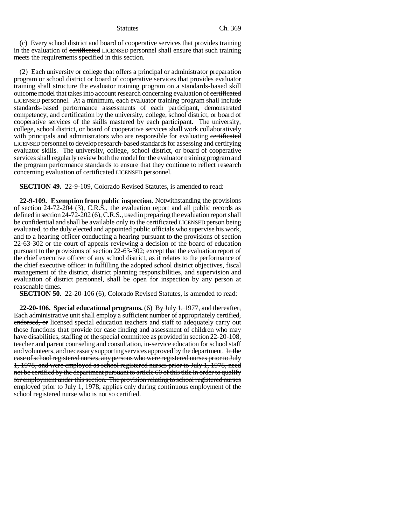(c) Every school district and board of cooperative services that provides training in the evaluation of certificated LICENSED personnel shall ensure that such training meets the requirements specified in this section.

(2) Each university or college that offers a principal or administrator preparation program or school district or board of cooperative services that provides evaluator training shall structure the evaluator training program on a standards-based skill outcome model that takes into account research concerning evaluation of certificated LICENSED personnel. At a minimum, each evaluator training program shall include standards-based performance assessments of each participant, demonstrated competency, and certification by the university, college, school district, or board of cooperative services of the skills mastered by each participant. The university, college, school district, or board of cooperative services shall work collaboratively with principals and administrators who are responsible for evaluating certificated LICENSED personnel to develop research-based standards for assessing and certifying evaluator skills. The university, college, school district, or board of cooperative services shall regularly review both the model for the evaluator training program and the program performance standards to ensure that they continue to reflect research concerning evaluation of certificated LICENSED personnel.

**SECTION 49.** 22-9-109, Colorado Revised Statutes, is amended to read:

**22-9-109. Exemption from public inspection.** Notwithstanding the provisions of section 24-72-204 (3), C.R.S., the evaluation report and all public records as defined in section 24-72-202 (6), C.R.S., used in preparing the evaluation report shall be confidential and shall be available only to the certificated LICENSED person being evaluated, to the duly elected and appointed public officials who supervise his work, and to a hearing officer conducting a hearing pursuant to the provisions of section 22-63-302 or the court of appeals reviewing a decision of the board of education pursuant to the provisions of section 22-63-302; except that the evaluation report of the chief executive officer of any school district, as it relates to the performance of the chief executive officer in fulfilling the adopted school district objectives, fiscal management of the district, district planning responsibilities, and supervision and evaluation of district personnel, shall be open for inspection by any person at reasonable times.

**SECTION 50.** 22-20-106 (6), Colorado Revised Statutes, is amended to read:

**22-20-106. Special educational programs.** (6) By July 1, 1977, and thereafter, Each administrative unit shall employ a sufficient number of appropriately certified, endorsed, or licensed special education teachers and staff to adequately carry out those functions that provide for case finding and assessment of children who may have disabilities, staffing of the special committee as provided in section 22-20-108, teacher and parent counseling and consultation, in-service education for school staff and volunteers, and necessary supporting services approved by the department. In the case of school registered nurses, any persons who were registered nurses prior to July 1, 1978, and were employed as school registered nurses prior to July 1, 1978, need not be certified by the department pursuant to article 60 of this title in order to qualify for employment under this section. The provision relating to school registered nurses employed prior to July 1, 1978, applies only during continuous employment of the school registered nurse who is not so certified.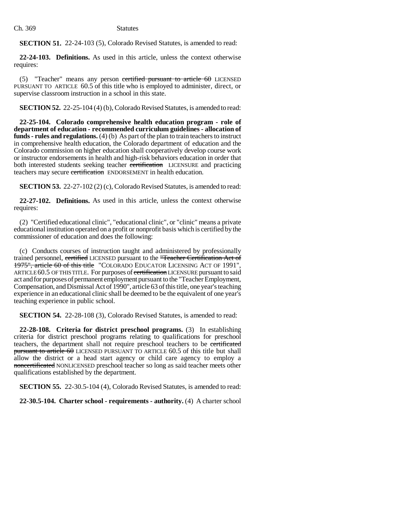**SECTION 51.** 22-24-103 (5), Colorado Revised Statutes, is amended to read:

**22-24-103. Definitions.** As used in this article, unless the context otherwise requires:

(5) "Teacher" means any person certified pursuant to article  $60$  LICENSED PURSUANT TO ARTICLE 60.5 of this title who is employed to administer, direct, or supervise classroom instruction in a school in this state.

**SECTION 52.** 22-25-104 (4) (b), Colorado Revised Statutes, is amended to read:

**22-25-104. Colorado comprehensive health education program - role of department of education - recommended curriculum guidelines - allocation of funds - rules and regulations.** (4) (b) As part of the plan to train teachers to instruct in comprehensive health education, the Colorado department of education and the Colorado commission on higher education shall cooperatively develop course work or instructor endorsements in health and high-risk behaviors education in order that both interested students seeking teacher certification LICENSURE and practicing teachers may secure certification ENDORSEMENT in health education.

**SECTION 53.** 22-27-102 (2) (c), Colorado Revised Statutes, is amended to read:

**22-27-102. Definitions.** As used in this article, unless the context otherwise requires:

(2) "Certified educational clinic", "educational clinic", or "clinic" means a private educational institution operated on a profit or nonprofit basis which is certified by the commissioner of education and does the following:

(c) Conducts courses of instruction taught and administered by professionally trained personnel, certified LICENSED pursuant to the "Teacher Certification Act of 1975", article 60 of this title "COLORADO EDUCATOR LICENSING ACT OF 1991", ARTICLE 60.5 OF THIS TITLE. For purposes of certification LICENSURE pursuant to said act and for purposes of permanent employment pursuant to the "Teacher Employment, Compensation, and Dismissal Act of 1990", article 63 of this title, one year's teaching experience in an educational clinic shall be deemed to be the equivalent of one year's teaching experience in public school.

**SECTION 54.** 22-28-108 (3), Colorado Revised Statutes, is amended to read:

**22-28-108. Criteria for district preschool programs.** (3) In establishing criteria for district preschool programs relating to qualifications for preschool teachers, the department shall not require preschool teachers to be certificated pursuant to article 60 LICENSED PURSUANT TO ARTICLE 60.5 of this title but shall allow the district or a head start agency or child care agency to employ a noncertificated NONLICENSED preschool teacher so long as said teacher meets other qualifications established by the department.

**SECTION 55.** 22-30.5-104 (4), Colorado Revised Statutes, is amended to read:

**22-30.5-104. Charter school - requirements - authority.** (4) A charter school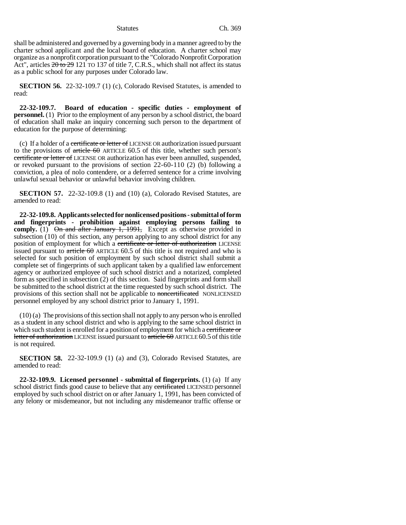shall be administered and governed by a governing body in a manner agreed to by the charter school applicant and the local board of education. A charter school may organize as a nonprofit corporation pursuant to the "Colorado Nonprofit Corporation Act", articles  $20 \text{ to } 29$  121 TO 137 of title 7, C.R.S., which shall not affect its status as a public school for any purposes under Colorado law.

**SECTION 56.** 22-32-109.7 (1) (c), Colorado Revised Statutes, is amended to read:

**22-32-109.7. Board of education - specific duties - employment of personnel.** (1) Prior to the employment of any person by a school district, the board of education shall make an inquiry concerning such person to the department of education for the purpose of determining:

(c) If a holder of a certificate or letter of LICENSE OR authorization issued pursuant to the provisions of  $\frac{article}{60}$  ARTICLE 60.5 of this title, whether such person's certificate or letter of LICENSE OR authorization has ever been annulled, suspended, or revoked pursuant to the provisions of section 22-60-110 (2) (b) following a conviction, a plea of nolo contendere, or a deferred sentence for a crime involving unlawful sexual behavior or unlawful behavior involving children.

**SECTION 57.** 22-32-109.8 (1) and (10) (a), Colorado Revised Statutes, are amended to read:

**22-32-109.8. Applicants selected for nonlicensed positions - submittal of form and fingerprints - prohibition against employing persons failing to comply.** (1) On and after January 1, 1991, Except as otherwise provided in subsection (10) of this section, any person applying to any school district for any position of employment for which a certificate or letter of authorization LICENSE issued pursuant to  $\frac{\text{article } 60}{\text{ARTICE } 60.5}$  of this title is not required and who is selected for such position of employment by such school district shall submit a complete set of fingerprints of such applicant taken by a qualified law enforcement agency or authorized employee of such school district and a notarized, completed form as specified in subsection (2) of this section. Said fingerprints and form shall be submitted to the school district at the time requested by such school district. The provisions of this section shall not be applicable to noncertificated NONLICENSED personnel employed by any school district prior to January 1, 1991.

(10) (a) The provisions of this section shall not apply to any person who is enrolled as a student in any school district and who is applying to the same school district in which such student is enrolled for a position of employment for which a certificate or letter of authorization LICENSE issued pursuant to article  $60$  ARTICLE 60.5 of this title is not required.

**SECTION 58.** 22-32-109.9 (1) (a) and (3), Colorado Revised Statutes, are amended to read:

**22-32-109.9. Licensed personnel - submittal of fingerprints.** (1) (a) If any school district finds good cause to believe that any certificated LICENSED personnel employed by such school district on or after January 1, 1991, has been convicted of any felony or misdemeanor, but not including any misdemeanor traffic offense or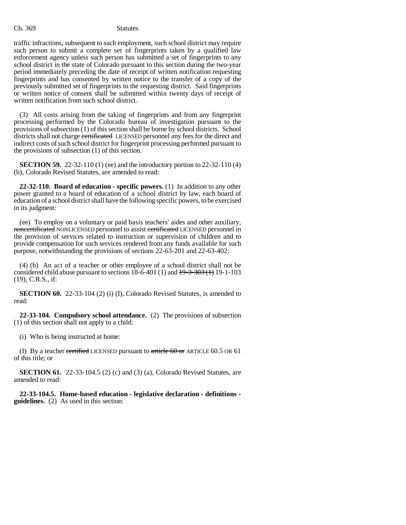traffic infractions, subsequent to such employment, such school district may require such person to submit a complete set of fingerprints taken by a qualified law enforcement agency unless such person has submitted a set of fingerprints to any school district in the state of Colorado pursuant to this section during the two-year period immediately preceding the date of receipt of written notification requesting fingerprints and has consented by written notice to the transfer of a copy of the previously submitted set of fingerprints to the requesting district. Said fingerprints or written notice of consent shall be submitted within twenty days of receipt of written notification from such school district.

(3) All costs arising from the taking of fingerprints and from any fingerprint processing performed by the Colorado bureau of investigation pursuant to the provisions of subsection (1) of this section shall be borne by school districts. School districts shall not charge certificated LICENSED personnel any fees for the direct and indirect costs of such school district for fingerprint processing performed pursuant to the provisions of subsection (1) of this section.

**SECTION 59.** 22-32-110 (1) (ee) and the introductory portion to 22-32-110 (4) (b), Colorado Revised Statutes, are amended to read:

**22-32-110. Board of education - specific powers.** (1) In addition to any other power granted to a board of education of a school district by law, each board of education of a school district shall have the following specific powers, to be exercised in its judgment:

(ee) To employ on a voluntary or paid basis teachers' aides and other auxiliary, noncertificated NONLICENSED personnel to assist certificated LICENSED personnel in the provision of services related to instruction or supervision of children and to provide compensation for such services rendered from any funds available for such purpose, notwithstanding the provisions of sections 22-63-201 and 22-63-402;

(4) (b) An act of a teacher or other employee of a school district shall not be considered child abuse pursuant to sections  $18-6-401$  (1) and  $19-3-303$  (1) 19-1-103 (19), C.R.S., if:

**SECTION 60.** 22-33-104 (2) (i) (I), Colorado Revised Statutes, is amended to read:

**22-33-104. Compulsory school attendance.** (2) The provisions of subsection (1) of this section shall not apply to a child:

(i) Who is being instructed at home:

(I) By a teacher certified LICENSED pursuant to article  $60 \text{ or }$  ARTICLE  $60.5 \text{ or } 61$ of this title; or

**SECTION 61.** 22-33-104.5 (2) (c) and (3) (a), Colorado Revised Statutes, are amended to read:

**22-33-104.5. Home-based education - legislative declaration - definitions guidelines.** (2) As used in this section: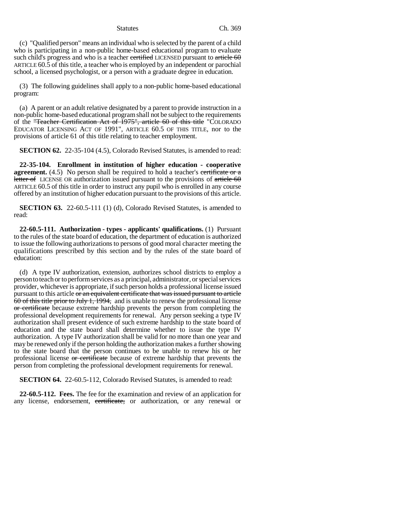(c) "Qualified person" means an individual who is selected by the parent of a child who is participating in a non-public home-based educational program to evaluate such child's progress and who is a teacher certified LICENSED pursuant to article  $60$ ARTICLE 60.5 of this title, a teacher who is employed by an independent or parochial school, a licensed psychologist, or a person with a graduate degree in education.

(3) The following guidelines shall apply to a non-public home-based educational program:

(a) A parent or an adult relative designated by a parent to provide instruction in a non-public home-based educational program shall not be subject to the requirements of the "Teacher Certification Act of 1975", article 60 of this title "COLORADO EDUCATOR LICENSING ACT OF 1991", ARTICLE 60.5 OF THIS TITLE, nor to the provisions of article 61 of this title relating to teacher employment.

**SECTION 62.** 22-35-104 (4.5), Colorado Revised Statutes, is amended to read:

**22-35-104. Enrollment in institution of higher education - cooperative agreement.** (4.5) No person shall be required to hold a teacher's certificate or a letter of LICENSE OR authorization issued pursuant to the provisions of  $\ar{tie}$  the 60 ARTICLE 60.5 of this title in order to instruct any pupil who is enrolled in any course offered by an institution of higher education pursuant to the provisions of this article.

**SECTION 63.** 22-60.5-111 (1) (d), Colorado Revised Statutes, is amended to read:

**22-60.5-111. Authorization - types - applicants' qualifications.** (1) Pursuant to the rules of the state board of education, the department of education is authorized to issue the following authorizations to persons of good moral character meeting the qualifications prescribed by this section and by the rules of the state board of education:

(d) A type IV authorization, extension, authorizes school districts to employ a person to teach or to perform services as a principal, administrator, or special services provider, whichever is appropriate, if such person holds a professional license issued pursuant to this article or an equivalent certificate that was issued pursuant to article 60 of this title prior to July 1, 1994, and is unable to renew the professional license or certificate because extreme hardship prevents the person from completing the professional development requirements for renewal. Any person seeking a type IV authorization shall present evidence of such extreme hardship to the state board of education and the state board shall determine whether to issue the type IV authorization. A type IV authorization shall be valid for no more than one year and may be renewed only if the person holding the authorization makes a further showing to the state board that the person continues to be unable to renew his or her professional license or certificate because of extreme hardship that prevents the person from completing the professional development requirements for renewal.

**SECTION 64.** 22-60.5-112, Colorado Revised Statutes, is amended to read:

**22-60.5-112. Fees.** The fee for the examination and review of an application for any license, endorsement, certificate, or authorization, or any renewal or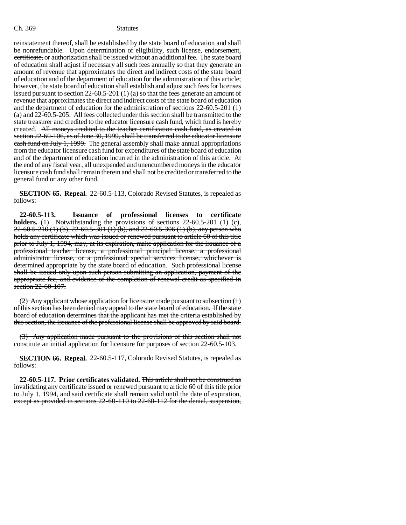reinstatement thereof, shall be established by the state board of education and shall be nonrefundable. Upon determination of eligibility, such license, endorsement, certificate, or authorization shall be issued without an additional fee. The state board of education shall adjust if necessary all such fees annually so that they generate an amount of revenue that approximates the direct and indirect costs of the state board of education and of the department of education for the administration of this article; however, the state board of education shall establish and adjust such fees for licenses issued pursuant to section 22-60.5-201 (1) (a) so that the fees generate an amount of revenue that approximates the direct and indirect costs of the state board of education and the department of education for the administration of sections 22-60.5-201 (1) (a) and 22-60.5-205. All fees collected under this section shall be transmitted to the state treasurer and credited to the educator licensure cash fund, which fund is hereby created. All moneys credited to the teacher certification cash fund, as created in section 22-60-106, as of June 30, 1999, shall be transferred to the educator licensure cash fund on July 1, 1999. The general assembly shall make annual appropriations from the educator licensure cash fund for expenditures of the state board of education and of the department of education incurred in the administration of this article. At the end of any fiscal year, all unexpended and unencumbered moneys in the educator licensure cash fund shall remain therein and shall not be credited or transferred to the general fund or any other fund.

**SECTION 65. Repeal.** 22-60.5-113, Colorado Revised Statutes, is repealed as follows:

**22-60.5-113. Issuance of professional licenses to certificate holders.** (1) Notwithstanding the provisions of sections 22-60.5-201 (1) (c), 22-60.5-210 (1) (b), 22-60.5-301 (1) (b), and 22-60.5-306 (1) (b), any person who holds any certificate which was issued or renewed pursuant to article 60 of this title prior to July 1, 1994, may, at its expiration, make application for the issuance of a professional teacher license, a professional principal license, a professional administrator license, or a professional special services license, whichever is determined appropriate by the state board of education. Such professional license shall be issued only upon such person submitting an application, payment of the appropriate fee, and evidence of the completion of renewal credit as specified in section 22-60-107.

(2) Any applicant whose application for licensure made pursuant to subsection  $(1)$ of this section has been denied may appeal to the state board of education. If the state board of education determines that the applicant has met the criteria established by this section, the issuance of the professional license shall be approved by said board.

(3) Any application made pursuant to the provisions of this section shall not constitute an initial application for licensure for purposes of section 22-60.5-103.

**SECTION 66. Repeal.** 22-60.5-117, Colorado Revised Statutes, is repealed as follows:

**22-60.5-117. Prior certificates validated.** This article shall not be construed as invalidating any certificate issued or renewed pursuant to article 60 of this title prior to July 1, 1994, and said certificate shall remain valid until the date of expiration, except as provided in sections 22-60-110 to 22-60-112 for the denial, suspension,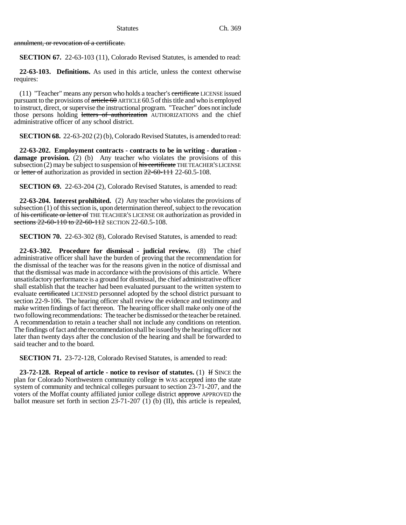annulment, or revocation of a certificate.

**SECTION 67.** 22-63-103 (11), Colorado Revised Statutes, is amended to read:

**22-63-103. Definitions.** As used in this article, unless the context otherwise requires:

(11) "Teacher" means any person who holds a teacher's certificate LICENSE issued pursuant to the provisions of  $\frac{\text{article } 60}{\text{article } 60}$  ARTICLE 60.5 of this title and who is employed to instruct, direct, or supervise the instructional program. "Teacher" does not include those persons holding letters of authorization AUTHORIZATIONS and the chief administrative officer of any school district.

**SECTION 68.** 22-63-202 (2) (b), Colorado Revised Statutes, is amended to read:

**22-63-202. Employment contracts - contracts to be in writing - duration**  damage provision. (2) (b) Any teacher who violates the provisions of this subsection (2) may be subject to suspension of his certificate THE TEACHER'S LICENSE or letter of authorization as provided in section 22-60-111 22-60.5-108.

**SECTION 69.** 22-63-204 (2), Colorado Revised Statutes, is amended to read:

**22-63-204. Interest prohibited.** (2) Any teacher who violates the provisions of subsection (1) of this section is, upon determination thereof, subject to the revocation of his certificate or letter of THE TEACHER'S LICENSE OR authorization as provided in sections 22-60-110 to 22-60-112 SECTION 22-60.5-108.

**SECTION 70.** 22-63-302 (8), Colorado Revised Statutes, is amended to read:

**22-63-302. Procedure for dismissal - judicial review.** (8) The chief administrative officer shall have the burden of proving that the recommendation for the dismissal of the teacher was for the reasons given in the notice of dismissal and that the dismissal was made in accordance with the provisions of this article. Where unsatisfactory performance is a ground for dismissal, the chief administrative officer shall establish that the teacher had been evaluated pursuant to the written system to evaluate certificated LICENSED personnel adopted by the school district pursuant to section 22-9-106. The hearing officer shall review the evidence and testimony and make written findings of fact thereon. The hearing officer shall make only one of the two following recommendations: The teacher be dismissed or the teacher be retained. A recommendation to retain a teacher shall not include any conditions on retention. The findings of fact and the recommendation shall be issued by the hearing officer not later than twenty days after the conclusion of the hearing and shall be forwarded to said teacher and to the board.

**SECTION 71.** 23-72-128, Colorado Revised Statutes, is amended to read:

**23-72-128. Repeal of article - notice to revisor of statutes.** (1) If SINCE the plan for Colorado Northwestern community college is WAS accepted into the state system of community and technical colleges pursuant to section 23-71-207, and the voters of the Moffat county affiliated junior college district approve APPROVED the ballot measure set forth in section 23-71-207 (1) (b) (II), this article is repealed,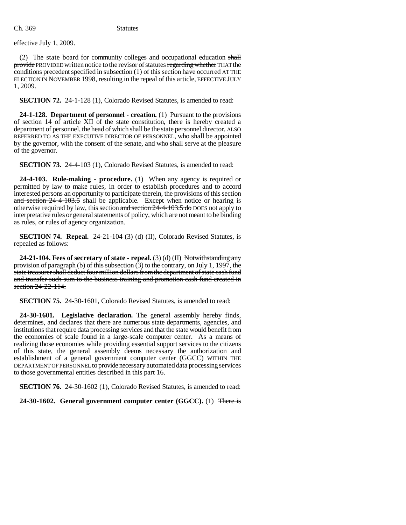effective July 1, 2009.

(2) The state board for community colleges and occupational education shall provide PROVIDED written notice to the revisor of statutes regarding whether THAT the conditions precedent specified in subsection  $(1)$  of this section have occurred AT THE ELECTION IN NOVEMBER 1998, resulting in the repeal of this article, EFFECTIVE JULY 1, 2009.

**SECTION 72.** 24-1-128 (1), Colorado Revised Statutes, is amended to read:

**24-1-128. Department of personnel - creation.** (1) Pursuant to the provisions of section 14 of article XII of the state constitution, there is hereby created a department of personnel, the head of which shall be the state personnel director, ALSO REFERRED TO AS THE EXECUTIVE DIRECTOR OF PERSONNEL, who shall be appointed by the governor, with the consent of the senate, and who shall serve at the pleasure of the governor.

**SECTION 73.** 24-4-103 (1), Colorado Revised Statutes, is amended to read:

**24-4-103. Rule-making - procedure.** (1) When any agency is required or permitted by law to make rules, in order to establish procedures and to accord interested persons an opportunity to participate therein, the provisions of this section and section 24-4-103.5 shall be applicable. Except when notice or hearing is otherwise required by law, this section and section 24-4-103.5 do DOES not apply to interpretative rules or general statements of policy, which are not meant to be binding as rules, or rules of agency organization.

**SECTION 74. Repeal.** 24-21-104 (3) (d) (II), Colorado Revised Statutes, is repealed as follows:

**24-21-104. Fees of secretary of state - repeal.** (3) (d) (II) Notwithstanding any provision of paragraph (b) of this subsection  $(3)$  to the contrary, on July 1, 1997, the state treasurer shall deduct four million dollars from the department of state cash fund and transfer such sum to the business training and promotion cash fund created in section 24-22-114.

**SECTION 75.** 24-30-1601, Colorado Revised Statutes, is amended to read:

**24-30-1601. Legislative declaration.** The general assembly hereby finds, determines, and declares that there are numerous state departments, agencies, and institutions that require data processing services and that the state would benefit from the economies of scale found in a large-scale computer center. As a means of realizing those economies while providing essential support services to the citizens of this state, the general assembly deems necessary the authorization and establishment of a general government computer center (GGCC) WITHIN THE DEPARTMENT OF PERSONNEL to provide necessary automated data processing services to those governmental entities described in this part 16.

**SECTION 76.** 24-30-1602 (1), Colorado Revised Statutes, is amended to read:

**24-30-1602. General government computer center (GGCC).** (1) There is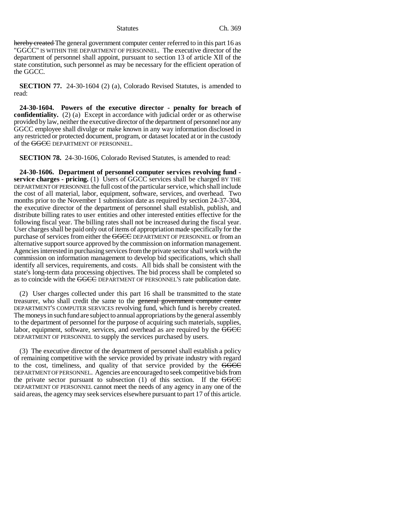hereby created The general government computer center referred to in this part 16 as "GGCC" IS WITHIN THE DEPARTMENT OF PERSONNEL. The executive director of the department of personnel shall appoint, pursuant to section 13 of article XII of the state constitution, such personnel as may be necessary for the efficient operation of the GGCC.

**SECTION 77.** 24-30-1604 (2) (a), Colorado Revised Statutes, is amended to read:

**24-30-1604. Powers of the executive director - penalty for breach of confidentiality.** (2) (a) Except in accordance with judicial order or as otherwise provided by law, neither the executive director of the department of personnel nor any GGCC employee shall divulge or make known in any way information disclosed in any restricted or protected document, program, or dataset located at or in the custody of the GGCC DEPARTMENT OF PERSONNEL.

**SECTION 78.** 24-30-1606, Colorado Revised Statutes, is amended to read:

**24-30-1606. Department of personnel computer services revolving fund service charges - pricing.** (1) Users of GGCC services shall be charged BY THE DEPARTMENT OF PERSONNEL the full cost of the particular service, which shall include the cost of all material, labor, equipment, software, services, and overhead. Two months prior to the November 1 submission date as required by section 24-37-304, the executive director of the department of personnel shall establish, publish, and distribute billing rates to user entities and other interested entities effective for the following fiscal year. The billing rates shall not be increased during the fiscal year. User charges shall be paid only out of items of appropriation made specifically for the purchase of services from either the GGCC DEPARTMENT OF PERSONNEL or from an alternative support source approved by the commission on information management. Agencies interested in purchasing services from the private sector shall work with the commission on information management to develop bid specifications, which shall identify all services, requirements, and costs. All bids shall be consistent with the state's long-term data processing objectives. The bid process shall be completed so as to coincide with the GGCC DEPARTMENT OF PERSONNEL'S rate publication date.

(2) User charges collected under this part 16 shall be transmitted to the state treasurer, who shall credit the same to the general government computer center DEPARTMENT'S COMPUTER SERVICES revolving fund, which fund is hereby created. The moneys in such fund are subject to annual appropriations by the general assembly to the department of personnel for the purpose of acquiring such materials, supplies, labor, equipment, software, services, and overhead as are required by the GGCC DEPARTMENT OF PERSONNEL to supply the services purchased by users.

(3) The executive director of the department of personnel shall establish a policy of remaining competitive with the service provided by private industry with regard to the cost, timeliness, and quality of that service provided by the GGCC DEPARTMENT OF PERSONNEL. Agencies are encouraged to seek competitive bids from the private sector pursuant to subsection  $(1)$  of this section. If the GGCC DEPARTMENT OF PERSONNEL cannot meet the needs of any agency in any one of the said areas, the agency may seek services elsewhere pursuant to part 17 of this article.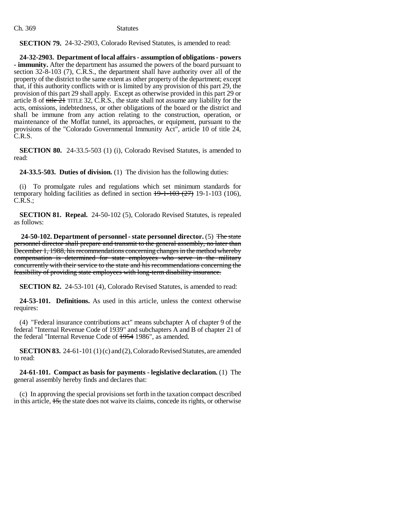**SECTION 79.** 24-32-2903, Colorado Revised Statutes, is amended to read:

**24-32-2903. Department of local affairs - assumption of obligations - powers - immunity.** After the department has assumed the powers of the board pursuant to section 32-8-103 (7), C.R.S., the department shall have authority over all of the property of the district to the same extent as other property of the department; except that, if this authority conflicts with or is limited by any provision of this part 29, the provision of this part 29 shall apply. Except as otherwise provided in this part 29 or article 8 of title  $\overline{21}$  TITLE 32, C.R.S., the state shall not assume any liability for the acts, omissions, indebtedness, or other obligations of the board or the district and shall be immune from any action relating to the construction, operation, or maintenance of the Moffat tunnel, its approaches, or equipment, pursuant to the provisions of the "Colorado Governmental Immunity Act", article 10 of title 24, C.R.S.

**SECTION 80.** 24-33.5-503 (1) (i), Colorado Revised Statutes, is amended to read:

**24-33.5-503. Duties of division.** (1) The division has the following duties:

(i) To promulgate rules and regulations which set minimum standards for temporary holding facilities as defined in section  $19-1-103$  (27) 19-1-103 (106), C.R.S.;

**SECTION 81. Repeal.** 24-50-102 (5), Colorado Revised Statutes, is repealed as follows:

**24-50-102. Department of personnel - state personnel director.** (5) The state personnel director shall prepare and transmit to the general assembly, no later than December 1, 1988, his recommendations concerning changes in the method whereby compensation is determined for state employees who serve in the military concurrently with their service to the state and his recommendations concerning the feasibility of providing state employees with long-term disability insurance.

**SECTION 82.** 24-53-101 (4), Colorado Revised Statutes, is amended to read:

**24-53-101. Definitions.** As used in this article, unless the context otherwise requires:

(4) "Federal insurance contributions act" means subchapter A of chapter 9 of the federal "Internal Revenue Code of 1939" and subchapters A and B of chapter 21 of the federal "Internal Revenue Code of 1954 1986", as amended.

**SECTION 83.** 24-61-101 (1) (c) and (2), Colorado Revised Statutes, are amended to read:

**24-61-101. Compact as basis for payments - legislative declaration.** (1) The general assembly hereby finds and declares that:

(c) In approving the special provisions set forth in the taxation compact described in this article, 15, the state does not waive its claims, concede its rights, or otherwise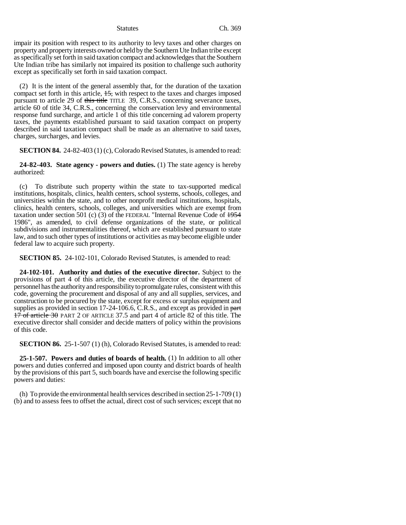impair its position with respect to its authority to levy taxes and other charges on property and property interests owned or held by the Southern Ute Indian tribe except as specifically set forth in said taxation compact and acknowledges that the Southern Ute Indian tribe has similarly not impaired its position to challenge such authority except as specifically set forth in said taxation compact.

(2) It is the intent of the general assembly that, for the duration of the taxation compact set forth in this article, 15, with respect to the taxes and charges imposed pursuant to article 29 of this title TITLE 39, C.R.S., concerning severance taxes, article 60 of title 34, C.R.S., concerning the conservation levy and environmental response fund surcharge, and article 1 of this title concerning ad valorem property taxes, the payments established pursuant to said taxation compact on property described in said taxation compact shall be made as an alternative to said taxes, charges, surcharges, and levies.

**SECTION 84.** 24-82-403 (1) (c), Colorado Revised Statutes, is amended to read:

**24-82-403. State agency - powers and duties.** (1) The state agency is hereby authorized:

(c) To distribute such property within the state to tax-supported medical institutions, hospitals, clinics, health centers, school systems, schools, colleges, and universities within the state, and to other nonprofit medical institutions, hospitals, clinics, health centers, schools, colleges, and universities which are exempt from taxation under section 501 (c) (3) of the FEDERAL "Internal Revenue Code of  $\frac{1954}{2}$ 1986", as amended, to civil defense organizations of the state, or political subdivisions and instrumentalities thereof, which are established pursuant to state law, and to such other types of institutions or activities as may become eligible under federal law to acquire such property.

**SECTION 85.** 24-102-101, Colorado Revised Statutes, is amended to read:

**24-102-101. Authority and duties of the executive director.** Subject to the provisions of part 4 of this article, the executive director of the department of personnel has the authority and responsibility to promulgate rules, consistent with this code, governing the procurement and disposal of any and all supplies, services, and construction to be procured by the state, except for excess or surplus equipment and supplies as provided in section 17-24-106.6, C.R.S., and except as provided in part 17 of article 30 PART 2 OF ARTICLE 37.5 and part 4 of article 82 of this title. The executive director shall consider and decide matters of policy within the provisions of this code.

**SECTION 86.** 25-1-507 (1) (h), Colorado Revised Statutes, is amended to read:

**25-1-507. Powers and duties of boards of health.** (1) In addition to all other powers and duties conferred and imposed upon county and district boards of health by the provisions of this part 5, such boards have and exercise the following specific powers and duties:

(h) To provide the environmental health services described in section 25-1-709 (1) (b) and to assess fees to offset the actual, direct cost of such services; except that no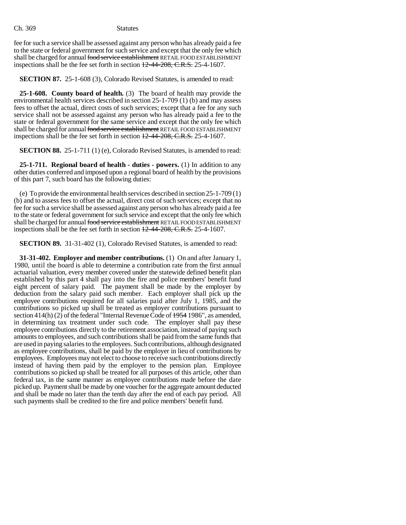fee for such a service shall be assessed against any person who has already paid a fee to the state or federal government for such service and except that the only fee which shall be charged for annual food service establishment RETAIL FOOD ESTABLISHMENT inspections shall be the fee set forth in section  $12-44-208$ , C.R.S. 25-4-1607.

**SECTION 87.** 25-1-608 (3), Colorado Revised Statutes, is amended to read:

**25-1-608. County board of health.** (3) The board of health may provide the environmental health services described in section 25-1-709 (1) (b) and may assess fees to offset the actual, direct costs of such services; except that a fee for any such service shall not be assessed against any person who has already paid a fee to the state or federal government for the same service and except that the only fee which shall be charged for annual food service establishment RETAIL FOOD ESTABLISHMENT inspections shall be the fee set forth in section  $12-44-208$ , C.R.S. 25-4-1607.

**SECTION 88.** 25-1-711 (1) (e), Colorado Revised Statutes, is amended to read:

**25-1-711. Regional board of health - duties - powers.** (1) In addition to any other duties conferred and imposed upon a regional board of health by the provisions of this part 7, such board has the following duties:

(e) To provide the environmental health services described in section 25-1-709 (1) (b) and to assess fees to offset the actual, direct cost of such services; except that no fee for such a service shall be assessed against any person who has already paid a fee to the state or federal government for such service and except that the only fee which shall be charged for annual food service establishment RETAIL FOOD ESTABLISHMENT inspections shall be the fee set forth in section 12-44-208, C.R.S. 25-4-1607.

**SECTION 89.** 31-31-402 (1), Colorado Revised Statutes, is amended to read:

**31-31-402. Employer and member contributions.** (1) On and after January 1, 1980, until the board is able to determine a contribution rate from the first annual actuarial valuation, every member covered under the statewide defined benefit plan established by this part 4 shall pay into the fire and police members' benefit fund eight percent of salary paid. The payment shall be made by the employer by deduction from the salary paid such member. Each employer shall pick up the employee contributions required for all salaries paid after July 1, 1985, and the contributions so picked up shall be treated as employer contributions pursuant to section 414(h) (2) of the federal "Internal Revenue Code of  $\frac{1954}{1986}$ ", as amended, in determining tax treatment under such code. The employer shall pay these employee contributions directly to the retirement association, instead of paying such amounts to employees, and such contributions shall be paid from the same funds that are used in paying salaries to the employees. Such contributions, although designated as employee contributions, shall be paid by the employer in lieu of contributions by employees. Employees may not elect to choose to receive such contributions directly instead of having them paid by the employer to the pension plan. Employee contributions so picked up shall be treated for all purposes of this article, other than federal tax, in the same manner as employee contributions made before the date picked up. Payment shall be made by one voucher for the aggregate amount deducted and shall be made no later than the tenth day after the end of each pay period. All such payments shall be credited to the fire and police members' benefit fund.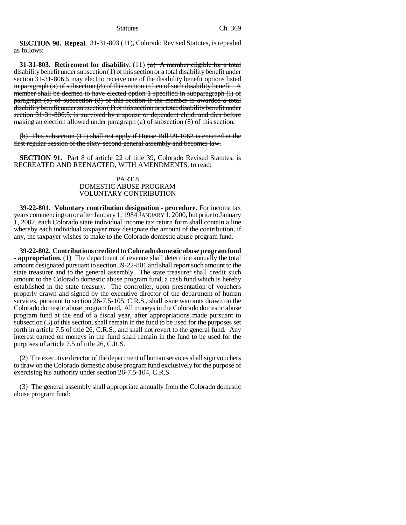**SECTION 90. Repeal.** 31-31-803 (11), Colorado Revised Statutes, is repealed as follows:

**31-31-803. Retirement for disability.** (11) (a) A member eligible for a total disability benefit under subsection (1) of this section or a total disability benefit under section 31-31-806.5 may elect to receive one of the disability benefit options listed in paragraph (a) of subsection  $(8)$  of this section in lieu of such disability benefit. A member shall be deemed to have elected option 1 specified in subparagraph (I) of paragraph (a) of subsection (8) of this section if the member is awarded a total disability benefit under subsection (1) of this section or a total disability benefit under section 31-31-806.5, is survived by a spouse or dependent child, and dies before making an election allowed under paragraph (a) of subsection (8) of this section.

(b) This subsection (11) shall not apply if House Bill 99-1062 is enacted at the first regular session of the sixty-second general assembly and becomes law.

**SECTION 91.** Part 8 of article 22 of title 39, Colorado Revised Statutes, is RECREATED AND REENACTED, WITH AMENDMENTS, to read:

# PART 8 DOMESTIC ABUSE PROGRAM VOLUNTARY CONTRIBUTION

**39-22-801. Voluntary contribution designation - procedure.** For income tax years commencing on or after January 1, 1984 JANUARY 1, 2000, but prior to January 1, 2007, each Colorado state individual income tax return form shall contain a line whereby each individual taxpayer may designate the amount of the contribution, if any, the taxpayer wishes to make to the Colorado domestic abuse program fund.

**39-22-802. Contributions credited to Colorado domestic abuse program fund - appropriation.** (1) The department of revenue shall determine annually the total amount designated pursuant to section 39-22-801 and shall report such amount to the state treasurer and to the general assembly. The state treasurer shall credit such amount to the Colorado domestic abuse program fund, a cash fund which is hereby established in the state treasury. The controller, upon presentation of vouchers properly drawn and signed by the executive director of the department of human services, pursuant to section 26-7.5-105, C.R.S., shall issue warrants drawn on the Colorado domestic abuse program fund. All moneys in the Colorado domestic abuse program fund at the end of a fiscal year, after appropriations made pursuant to subsection (3) of this section, shall remain in the fund to be used for the purposes set forth in article 7.5 of title 26, C.R.S., and shall not revert to the general fund. Any interest earned on moneys in the fund shall remain in the fund to be used for the purposes of article 7.5 of title 26, C.R.S.

(2) The executive director of the department of human services shall sign vouchers to draw on the Colorado domestic abuse program fund exclusively for the purpose of exercising his authority under section 26-7.5-104, C.R.S.

(3) The general assembly shall appropriate annually from the Colorado domestic abuse program fund: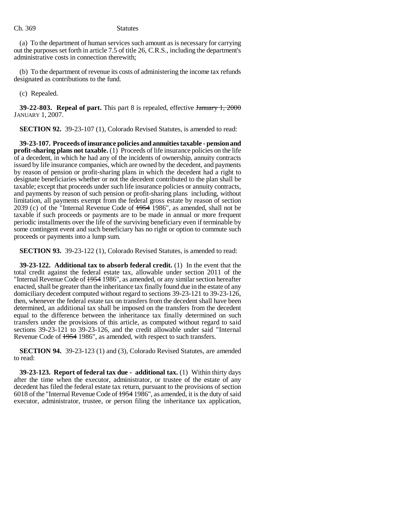(a) To the department of human services such amount as is necessary for carrying out the purposes set forth in article 7.5 of title 26, C.R.S., including the department's administrative costs in connection therewith;

(b) To the department of revenue its costs of administering the income tax refunds designated as contributions to the fund.

(c) Repealed.

**39-22-803. Repeal of part.** This part 8 is repealed, effective January 1, 2000 JANUARY 1, 2007.

**SECTION 92.** 39-23-107 (1), Colorado Revised Statutes, is amended to read:

**39-23-107. Proceeds of insurance policies and annuities taxable - pension and profit-sharing plans not taxable.** (1) Proceeds of life insurance policies on the life of a decedent, in which he had any of the incidents of ownership, annuity contracts issued by life insurance companies, which are owned by the decedent, and payments by reason of pension or profit-sharing plans in which the decedent had a right to designate beneficiaries whether or not the decedent contributed to the plan shall be taxable; except that proceeds under such life insurance policies or annuity contracts, and payments by reason of such pension or profit-sharing plans including, without limitation, all payments exempt from the federal gross estate by reason of section 2039 (c) of the "Internal Revenue Code of 1954 1986", as amended, shall not be taxable if such proceeds or payments are to be made in annual or more frequent periodic installments over the life of the surviving beneficiary even if terminable by some contingent event and such beneficiary has no right or option to commute such proceeds or payments into a lump sum.

**SECTION 93.** 39-23-122 (1), Colorado Revised Statutes, is amended to read:

**39-23-122. Additional tax to absorb federal credit.** (1) In the event that the total credit against the federal estate tax, allowable under section 2011 of the "Internal Revenue Code of 1954 1986", as amended, or any similar section hereafter enacted, shall be greater than the inheritance tax finally found due in the estate of any domiciliary decedent computed without regard to sections 39-23-121 to 39-23-126, then, whenever the federal estate tax on transfers from the decedent shall have been determined, an additional tax shall be imposed on the transfers from the decedent equal to the difference between the inheritance tax finally determined on such transfers under the provisions of this article, as computed without regard to said sections 39-23-121 to 39-23-126, and the credit allowable under said "Internal Revenue Code of  $\frac{1954}{1986}$ , as amended, with respect to such transfers.

**SECTION 94.** 39-23-123 (1) and (3), Colorado Revised Statutes, are amended to read:

**39-23-123. Report of federal tax due - additional tax.** (1) Within thirty days after the time when the executor, administrator, or trustee of the estate of any decedent has filed the federal estate tax return, pursuant to the provisions of section 6018 of the "Internal Revenue Code of 1954 1986", as amended, it is the duty of said executor, administrator, trustee, or person filing the inheritance tax application,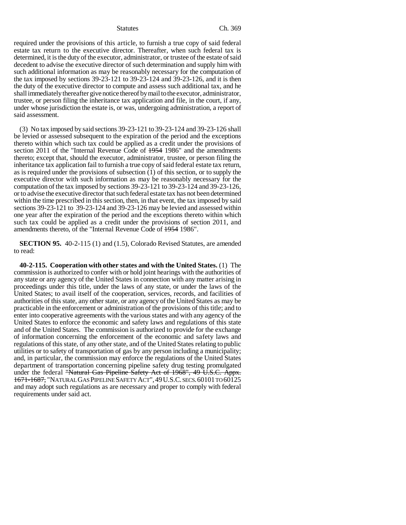required under the provisions of this article, to furnish a true copy of said federal estate tax return to the executive director. Thereafter, when such federal tax is determined, it is the duty of the executor, administrator, or trustee of the estate of said decedent to advise the executive director of such determination and supply him with such additional information as may be reasonably necessary for the computation of the tax imposed by sections 39-23-121 to 39-23-124 and 39-23-126, and it is then the duty of the executive director to compute and assess such additional tax, and he shall immediately thereafter give notice thereof by mail to the executor, administrator, trustee, or person filing the inheritance tax application and file, in the court, if any, under whose jurisdiction the estate is, or was, undergoing administration, a report of said assessment.

(3) No tax imposed by said sections 39-23-121 to 39-23-124 and 39-23-126 shall be levied or assessed subsequent to the expiration of the period and the exceptions thereto within which such tax could be applied as a credit under the provisions of section 2011 of the "Internal Revenue Code of  $\frac{1954}{1986}$ " and the amendments thereto; except that, should the executor, administrator, trustee, or person filing the inheritance tax application fail to furnish a true copy of said federal estate tax return, as is required under the provisions of subsection (1) of this section, or to supply the executive director with such information as may be reasonably necessary for the computation of the tax imposed by sections 39-23-121 to 39-23-124 and 39-23-126, or to advise the executive director that such federal estate tax has not been determined within the time prescribed in this section, then, in that event, the tax imposed by said sections 39-23-121 to 39-23-124 and 39-23-126 may be levied and assessed within one year after the expiration of the period and the exceptions thereto within which such tax could be applied as a credit under the provisions of section 2011, and amendments thereto, of the "Internal Revenue Code of 1954 1986".

**SECTION 95.** 40-2-115 (1) and (1.5), Colorado Revised Statutes, are amended to read:

**40-2-115. Cooperation with other states and with the United States.** (1) The commission is authorized to confer with or hold joint hearings with the authorities of any state or any agency of the United States in connection with any matter arising in proceedings under this title, under the laws of any state, or under the laws of the United States; to avail itself of the cooperation, services, records, and facilities of authorities of this state, any other state, or any agency of the United States as may be practicable in the enforcement or administration of the provisions of this title; and to enter into cooperative agreements with the various states and with any agency of the United States to enforce the economic and safety laws and regulations of this state and of the United States. The commission is authorized to provide for the exchange of information concerning the enforcement of the economic and safety laws and regulations of this state, of any other state, and of the United States relating to public utilities or to safety of transportation of gas by any person including a municipality; and, in particular, the commission may enforce the regulations of the United States department of transportation concerning pipeline safety drug testing promulgated under the federal "Natural Gas Pipeline Safety Act of 1968", 49 U.S.C. Appx. 1671-1687, "NATURAL GAS PIPELINE SAFETY ACT",49U.S.C. SECS.60101 TO 60125 and may adopt such regulations as are necessary and proper to comply with federal requirements under said act.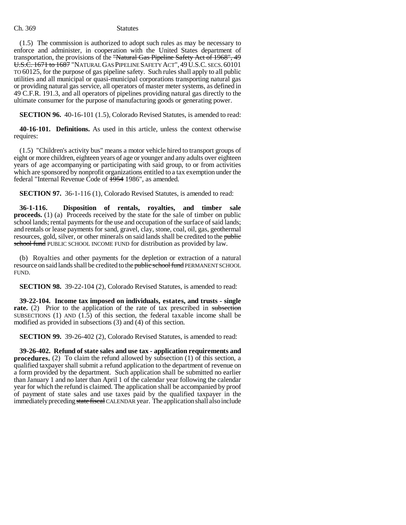(1.5) The commission is authorized to adopt such rules as may be necessary to enforce and administer, in cooperation with the United States department of transportation, the provisions of the "Natural Gas Pipeline Safety Act of 1968", 49 U.S.C. 1671 to 1687 "NATURAL GAS PIPELINE SAFETY ACT", 49 U.S.C. SECS. 60101 TO 60125, for the purpose of gas pipeline safety. Such rules shall apply to all public utilities and all municipal or quasi-municipal corporations transporting natural gas or providing natural gas service, all operators of master meter systems, as defined in 49 C.F.R. 191.3, and all operators of pipelines providing natural gas directly to the ultimate consumer for the purpose of manufacturing goods or generating power.

**SECTION 96.** 40-16-101 (1.5), Colorado Revised Statutes, is amended to read:

**40-16-101. Definitions.** As used in this article, unless the context otherwise requires:

(1.5) "Children's activity bus" means a motor vehicle hired to transport groups of eight or more children, eighteen years of age or younger and any adults over eighteen years of age accompanying or participating with said group, to or from activities which are sponsored by nonprofit organizations entitled to a tax exemption under the federal "Internal Revenue Code of 1954 1986", as amended.

**SECTION 97.** 36-1-116 (1), Colorado Revised Statutes, is amended to read:

**36-1-116. Disposition of rentals, royalties, and timber sale proceeds.** (1) (a) Proceeds received by the state for the sale of timber on public school lands; rental payments for the use and occupation of the surface of said lands; and rentals or lease payments for sand, gravel, clay, stone, coal, oil, gas, geothermal resources, gold, silver, or other minerals on said lands shall be credited to the public school fund PUBLIC SCHOOL INCOME FUND for distribution as provided by law.

(b) Royalties and other payments for the depletion or extraction of a natural resource on said lands shall be credited to the public school fund PERMANENT SCHOOL FUND.

**SECTION 98.** 39-22-104 (2), Colorado Revised Statutes, is amended to read:

**39-22-104. Income tax imposed on individuals, estates, and trusts - single rate.** (2) Prior to the application of the rate of tax prescribed in subsection SUBSECTIONS (1) AND  $(1.5)$  of this section, the federal taxable income shall be modified as provided in subsections (3) and (4) of this section.

**SECTION 99.** 39-26-402 (2), Colorado Revised Statutes, is amended to read:

**39-26-402. Refund of state sales and use tax - application requirements and procedures.** (2) To claim the refund allowed by subsection (1) of this section, a qualified taxpayer shall submit a refund application to the department of revenue on a form provided by the department. Such application shall be submitted no earlier than January 1 and no later than April 1 of the calendar year following the calendar year for which the refund is claimed. The application shall be accompanied by proof of payment of state sales and use taxes paid by the qualified taxpayer in the immediately preceding state fiscal CALENDAR year. The application shall also include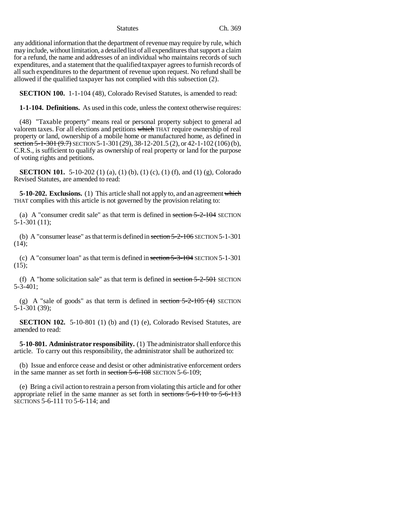any additional information that the department of revenue may require by rule, which may include, without limitation, a detailed list of all expenditures that support a claim for a refund, the name and addresses of an individual who maintains records of such expenditures, and a statement that the qualified taxpayer agrees to furnish records of all such expenditures to the department of revenue upon request. No refund shall be allowed if the qualified taxpayer has not complied with this subsection (2).

**SECTION 100.** 1-1-104 (48), Colorado Revised Statutes, is amended to read:

**1-1-104. Definitions.** As used in this code, unless the context otherwise requires:

(48) "Taxable property" means real or personal property subject to general ad valorem taxes. For all elections and petitions which THAT require ownership of real property or land, ownership of a mobile home or manufactured home, as defined in section  $5-1-301$   $(9.7)$  SECTION  $5-1-301$   $(29)$ ,  $38-12-201.5$   $(2)$ , or  $42-1-102$   $(106)$   $(b)$ , C.R.S., is sufficient to qualify as ownership of real property or land for the purpose of voting rights and petitions.

**SECTION 101.** 5-10-202 (1) (a), (1) (b), (1) (c), (1) (f), and (1) (g), Colorado Revised Statutes, are amended to read:

**5-10-202. Exclusions.** (1) This article shall not apply to, and an agreement which THAT complies with this article is not governed by the provision relating to:

(a) A "consumer credit sale" as that term is defined in section 5-2-104 SECTION 5-1-301 (11);

(b) A "consumer lease" as that term is defined in section 5-2-106 SECTION 5-1-301 (14);

(c) A "consumer loan" as that term is defined in section 5-3-104 SECTION 5-1-301  $(15);$ 

(f) A "home solicitation sale" as that term is defined in section  $5-2-501$  SECTION 5-3-401;

(g) A "sale of goods" as that term is defined in section  $5-2-105$  (4) SECTION 5-1-301 (39);

**SECTION 102.** 5-10-801 (1) (b) and (1) (e), Colorado Revised Statutes, are amended to read:

**5-10-801. Administrator responsibility.** (1) The administrator shall enforce this article. To carry out this responsibility, the administrator shall be authorized to:

(b) Issue and enforce cease and desist or other administrative enforcement orders in the same manner as set forth in section 5-6-108 SECTION 5-6-109;

(e) Bring a civil action to restrain a person from violating this article and for other appropriate relief in the same manner as set forth in sections 5-6-110 to 5-6-113 SECTIONS 5-6-111 TO 5-6-114; and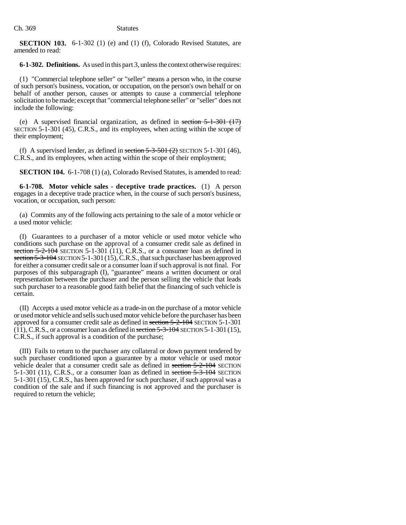**SECTION 103.** 6-1-302 (1) (e) and (1) (f), Colorado Revised Statutes, are amended to read:

**6-1-302. Definitions.** As used in this part 3, unless the context otherwise requires:

(1) "Commercial telephone seller" or "seller" means a person who, in the course of such person's business, vocation, or occupation, on the person's own behalf or on behalf of another person, causes or attempts to cause a commercial telephone solicitation to be made; except that "commercial telephone seller" or "seller" does not include the following:

(e) A supervised financial organization, as defined in section  $5-1-301$  (17) SECTION 5-1-301 (45), C.R.S., and its employees, when acting within the scope of their employment;

(f) A supervised lender, as defined in section  $5-3-501$  ( $2$ ) SECTION  $5-1-301$  (46), C.R.S., and its employees, when acting within the scope of their employment;

**SECTION 104.** 6-1-708 (1) (a), Colorado Revised Statutes, is amended to read:

**6-1-708. Motor vehicle sales - deceptive trade practices.** (1) A person engages in a deceptive trade practice when, in the course of such person's business, vocation, or occupation, such person:

(a) Commits any of the following acts pertaining to the sale of a motor vehicle or a used motor vehicle:

(I) Guarantees to a purchaser of a motor vehicle or used motor vehicle who conditions such purchase on the approval of a consumer credit sale as defined in section  $5-2-104$  SECTION  $5-1-301$  (11), C.R.S., or a consumer loan as defined in section 5-3-104 SECTION 5-1-301 (15), C.R.S., that such purchaser has been approved for either a consumer credit sale or a consumer loan if such approval is not final. For purposes of this subparagraph (I), "guarantee" means a written document or oral representation between the purchaser and the person selling the vehicle that leads such purchaser to a reasonable good faith belief that the financing of such vehicle is certain.

(II) Accepts a used motor vehicle as a trade-in on the purchase of a motor vehicle or used motor vehicle and sells such used motor vehicle before the purchaser has been approved for a consumer credit sale as defined in section 5-2-104 SECTION 5-1-301  $(11)$ , C.R.S., or a consumer loan as defined in section  $5-3-104$  SECTION  $5-1-301$  (15), C.R.S., if such approval is a condition of the purchase;

(III) Fails to return to the purchaser any collateral or down payment tendered by such purchaser conditioned upon a guarantee by a motor vehicle or used motor vehicle dealer that a consumer credit sale as defined in section 5-2-104 SECTION  $5-1-301$  (11), C.R.S., or a consumer loan as defined in section  $5-3-104$  SECTION 5-1-301 (15), C.R.S., has been approved for such purchaser, if such approval was a condition of the sale and if such financing is not approved and the purchaser is required to return the vehicle;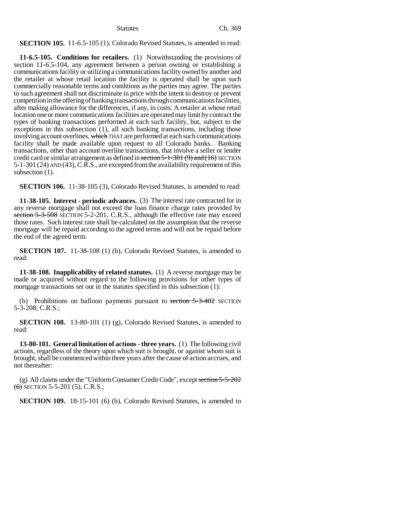# **SECTION 105.** 11-6.5-105 (1), Colorado Revised Statutes, is amended to read:

**11-6.5-105. Conditions for retailers.** (1) Notwithstanding the provisions of section 11-6.5-104, any agreement between a person owning or establishing a communications facility or utilizing a communications facility owned by another and the retailer at whose retail location the facility is operated shall be upon such commercially reasonable terms and conditions as the parties may agree. The parties to such agreement shall not discriminate in price with the intent to destroy or prevent competition in the offering of banking transactions through communications facilities, after making allowance for the differences, if any, in costs. A retailer at whose retail location one or more communications facilities are operated may limit by contract the types of banking transactions performed at each such facility, but, subject to the exceptions in this subsection (1), all such banking transactions, including those involving account overlines, which THAT are performed at each such communications facility shall be made available upon request to all Colorado banks. Banking transactions, other than account overline transactions, that involve a seller or lender credit card or similar arrangement as defined in section 5-1-301 (9) and (16) SECTION 5-1-301 (24) AND (43), C.R.S., are excepted from the availability requirement of this subsection  $(1)$ .

**SECTION 106.** 11-38-105 (3), Colorado Revised Statutes, is amended to read:

**11-38-105. Interest - periodic advances.** (3) The interest rate contracted for in any reverse mortgage shall not exceed the loan finance charge rates provided by section 5-3-508 SECTION 5-2-201, C.R.S., although the effective rate may exceed those rates. Such interest rate shall be calculated on the assumption that the reverse mortgage will be repaid according to the agreed terms and will not be repaid before the end of the agreed term.

**SECTION 107.** 11-38-108 (1) (b), Colorado Revised Statutes, is amended to read:

**11-38-108. Inapplicability of related statutes.** (1) A reverse mortgage may be made or acquired without regard to the following provisions for other types of mortgage transactions set out in the statutes specified in this subsection (1):

(b) Prohibitions on balloon payments pursuant to section  $5-3-402$  SECTION 5-3-208, C.R.S.;

**SECTION 108.** 13-80-101 (1) (g), Colorado Revised Statutes, is amended to read:

**13-80-101. General limitation of actions - three years.** (1) The following civil actions, regardless of the theory upon which suit is brought, or against whom suit is brought, shall be commenced within three years after the cause of action accrues, and not thereafter:

(g) All claims under the "Uniform Consumer Credit Code", except section 5-5-202  $(6)$  SECTION 5-5-201 (5), C.R.S.;

**SECTION 109.** 18-15-101 (6) (b), Colorado Revised Statutes, is amended to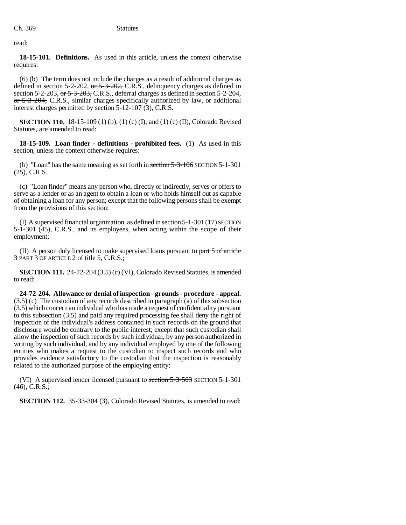read:

**18-15-101. Definitions.** As used in this article, unless the context otherwise requires:

(6) (b) The term does not include the charges as a result of additional charges as defined in section 5-2-202, or  $5-3-202$ , C.R.S., delinquency charges as defined in section 5-2-203, or 5-3-203, C.R.S., deferral charges as defined in section 5-2-204, or 5-3-204, C.R.S., similar charges specifically authorized by law, or additional interest charges permitted by section 5-12-107 (3), C.R.S.

**SECTION 110.** 18-15-109 (1) (b), (1) (c) (I), and (1) (c) (II), Colorado Revised Statutes, are amended to read:

**18-15-109. Loan finder - definitions - prohibited fees.** (1) As used in this section, unless the context otherwise requires:

(b) "Loan" has the same meaning as set forth in section 5-3-106 SECTION 5-1-301 (25), C.R.S.

(c) "Loan finder" means any person who, directly or indirectly, serves or offers to serve as a lender or as an agent to obtain a loan or who holds himself out as capable of obtaining a loan for any person; except that the following persons shall be exempt from the provisions of this section:

(I) A supervised financial organization, as defined in section  $5-1-301$  ( $17$ ) SECTION 5-1-301 (45), C.R.S., and its employees, when acting within the scope of their employment;

(II) A person duly licensed to make supervised loans pursuant to part  $5$  of article 3 PART 3 OF ARTICLE 2 of title 5, C.R.S.;

**SECTION 111.** 24-72-204 (3.5) (c) (VI), Colorado Revised Statutes, is amended to read:

**24-72-204. Allowance or denial of inspection - grounds - procedure - appeal.** (3.5) (c) The custodian of any records described in paragraph (a) of this subsection (3.5) which concern an individual who has made a request of confidentiality pursuant to this subsection (3.5) and paid any required processing fee shall deny the right of inspection of the individual's address contained in such records on the ground that disclosure would be contrary to the public interest; except that such custodian shall allow the inspection of such records by such individual, by any person authorized in writing by such individual, and by any individual employed by one of the following entities who makes a request to the custodian to inspect such records and who provides evidence satisfactory to the custodian that the inspection is reasonably related to the authorized purpose of the employing entity:

(VI) A supervised lender licensed pursuant to section 5-3-503 SECTION 5-1-301 (46), C.R.S.;

**SECTION 112.** 35-33-304 (3), Colorado Revised Statutes, is amended to read: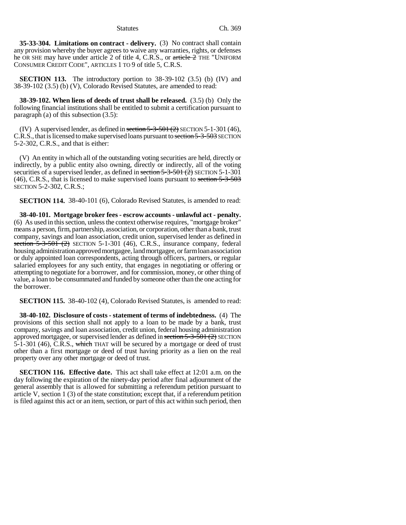**35-33-304. Limitations on contract - delivery.** (3) No contract shall contain any provision whereby the buyer agrees to waive any warranties, rights, or defenses he OR SHE may have under article 2 of title 4, C.R.S., or  $\pi$ rticle  $\hat{Z}$  THE "UNIFORM CONSUMER CREDIT CODE", ARTICLES 1 TO 9 of title 5, C.R.S.

**SECTION 113.** The introductory portion to 38-39-102 (3.5) (b) (IV) and 38-39-102 (3.5) (b) (V), Colorado Revised Statutes, are amended to read:

**38-39-102. When liens of deeds of trust shall be released.** (3.5) (b) Only the following financial institutions shall be entitled to submit a certification pursuant to paragraph (a) of this subsection (3.5):

(IV) A supervised lender, as defined in section  $5-3-50+ (2)$  SECTION  $5-1-301(46)$ , C.R.S., that is licensed to make supervised loans pursuant to section 5-3-503 SECTION 5-2-302, C.R.S., and that is either:

(V) An entity in which all of the outstanding voting securities are held, directly or indirectly, by a public entity also owning, directly or indirectly, all of the voting securities of a supervised lender, as defined in section  $5-3-501$  (2) SECTION 5-1-301 (46), C.R.S., that is licensed to make supervised loans pursuant to section 5-3-503 SECTION 5-2-302, C.R.S.;

**SECTION 114.** 38-40-101 (6), Colorado Revised Statutes, is amended to read:

**38-40-101. Mortgage broker fees - escrow accounts - unlawful act - penalty.** (6) As used in this section, unless the context otherwise requires, "mortgage broker" means a person, firm, partnership, association, or corporation, other than a bank, trust company, savings and loan association, credit union, supervised lender as defined in section  $5-3-501$  (2) SECTION 5-1-301 (46), C.R.S., insurance company, federal housing administration approved mortgagee, land mortgagee, or farm loan association or duly appointed loan correspondents, acting through officers, partners, or regular salaried employees for any such entity, that engages in negotiating or offering or attempting to negotiate for a borrower, and for commission, money, or other thing of value, a loan to be consummated and funded by someone other than the one acting for the borrower.

**SECTION 115.** 38-40-102 (4), Colorado Revised Statutes, is amended to read:

**38-40-102. Disclosure of costs - statement of terms of indebtedness.** (4) The provisions of this section shall not apply to a loan to be made by a bank, trust company, savings and loan association, credit union, federal housing administration approved mortgagee, or supervised lender as defined in section 5-3-501 (2) SECTION 5-1-301 (46), C.R.S., which THAT will be secured by a mortgage or deed of trust other than a first mortgage or deed of trust having priority as a lien on the real property over any other mortgage or deed of trust.

**SECTION 116. Effective date.** This act shall take effect at 12:01 a.m. on the day following the expiration of the ninety-day period after final adjournment of the general assembly that is allowed for submitting a referendum petition pursuant to article V, section 1 (3) of the state constitution; except that, if a referendum petition is filed against this act or an item, section, or part of this act within such period, then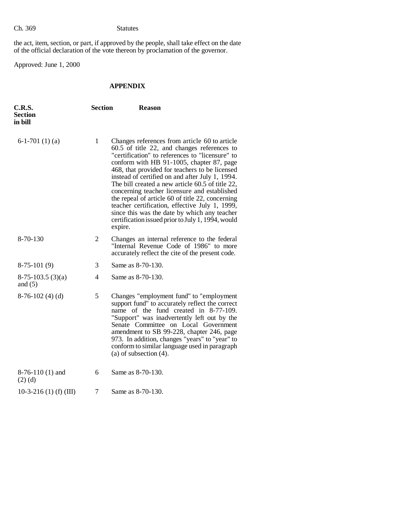the act, item, section, or part, if approved by the people, shall take effect on the date of the official declaration of the vote thereon by proclamation of the governor.

Approved: June 1, 2000

# **APPENDIX**

| <b>C.R.S.</b><br><b>Section</b><br>in bill | <b>Section</b> | <b>Reason</b>                                                                                                                                                                                                                                                                                                                                                                                                                                                                                                                                                                                                               |
|--------------------------------------------|----------------|-----------------------------------------------------------------------------------------------------------------------------------------------------------------------------------------------------------------------------------------------------------------------------------------------------------------------------------------------------------------------------------------------------------------------------------------------------------------------------------------------------------------------------------------------------------------------------------------------------------------------------|
| 6-1-701 $(1)(a)$                           | $\mathbf{1}$   | Changes references from article 60 to article<br>60.5 of title 22, and changes references to<br>"certification" to references to "licensure" to<br>conform with HB 91-1005, chapter 87, page<br>468, that provided for teachers to be licensed<br>instead of certified on and after July 1, 1994.<br>The bill created a new article 60.5 of title 22,<br>concerning teacher licensure and established<br>the repeal of article 60 of title 22, concerning<br>teacher certification, effective July 1, 1999,<br>since this was the date by which any teacher<br>certification issued prior to July 1, 1994, would<br>expire. |
| 8-70-130                                   | 2              | Changes an internal reference to the federal<br>"Internal Revenue Code of 1986" to more<br>accurately reflect the cite of the present code.                                                                                                                                                                                                                                                                                                                                                                                                                                                                                 |
| $8-75-101(9)$                              | 3              | Same as 8-70-130.                                                                                                                                                                                                                                                                                                                                                                                                                                                                                                                                                                                                           |
| $8-75-103.5(3)(a)$<br>and $(5)$            | 4              | Same as 8-70-130.                                                                                                                                                                                                                                                                                                                                                                                                                                                                                                                                                                                                           |
| $8-76-102(4)$ (d)                          | 5              | Changes "employment fund" to "employment"<br>support fund" to accurately reflect the correct<br>name of the fund created in 8-77-109.<br>"Support" was inadvertently left out by the<br>Senate Committee on Local Government<br>amendment to SB 99-228, chapter 246, page<br>973. In addition, changes "years" to "year" to<br>conform to similar language used in paragraph<br>$(a)$ of subsection $(4)$ .                                                                                                                                                                                                                 |
| $8-76-110(1)$ and<br>$(2)$ (d)             | 6              | Same as 8-70-130.                                                                                                                                                                                                                                                                                                                                                                                                                                                                                                                                                                                                           |
| 10-3-216 (1) (f) (III)                     | 7              | Same as 8-70-130.                                                                                                                                                                                                                                                                                                                                                                                                                                                                                                                                                                                                           |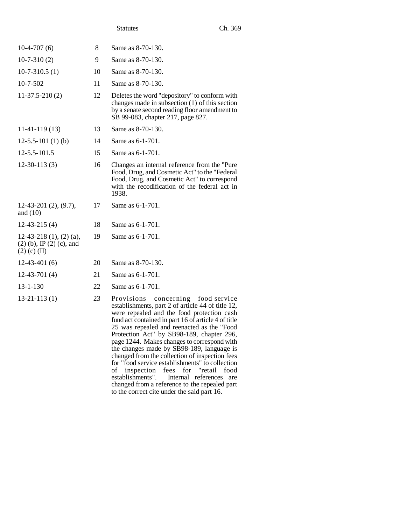| $10-4-707(6)$                                                             | 8  | Same as 8-70-130.                                                                                                                                                                                                                                                                                                                                                                                                                                                                           |
|---------------------------------------------------------------------------|----|---------------------------------------------------------------------------------------------------------------------------------------------------------------------------------------------------------------------------------------------------------------------------------------------------------------------------------------------------------------------------------------------------------------------------------------------------------------------------------------------|
| $10-7-310(2)$                                                             | 9  | Same as 8-70-130.                                                                                                                                                                                                                                                                                                                                                                                                                                                                           |
| $10-7-310.5(1)$                                                           | 10 | Same as 8-70-130.                                                                                                                                                                                                                                                                                                                                                                                                                                                                           |
| 10-7-502                                                                  | 11 | Same as 8-70-130.                                                                                                                                                                                                                                                                                                                                                                                                                                                                           |
| $11-37.5-210(2)$                                                          | 12 | Deletes the word "depository" to conform with<br>changes made in subsection $(1)$ of this section<br>by a senate second reading floor amendment to<br>SB 99-083, chapter 217, page 827.                                                                                                                                                                                                                                                                                                     |
| $11-41-119(13)$                                                           | 13 | Same as 8-70-130.                                                                                                                                                                                                                                                                                                                                                                                                                                                                           |
| $12-5.5-101(1)$ (b)                                                       | 14 | Same as 6-1-701.                                                                                                                                                                                                                                                                                                                                                                                                                                                                            |
| 12-5.5-101.5                                                              | 15 | Same as 6-1-701.                                                                                                                                                                                                                                                                                                                                                                                                                                                                            |
| $12-30-113(3)$                                                            | 16 | Changes an internal reference from the "Pure"<br>Food, Drug, and Cosmetic Act" to the "Federal<br>Food, Drug, and Cosmetic Act" to correspond<br>with the recodification of the federal act in<br>1938.                                                                                                                                                                                                                                                                                     |
| $12-43-201$ $(2), (9.7),$<br>and $(10)$                                   | 17 | Same as 6-1-701.                                                                                                                                                                                                                                                                                                                                                                                                                                                                            |
| $12-43-215(4)$                                                            | 18 | Same as 6-1-701.                                                                                                                                                                                                                                                                                                                                                                                                                                                                            |
| $12-43-218$ (1), (2) (a),<br>$(2)$ (b), IP (2) (c), and<br>$(2)$ (c) (II) | 19 | Same as 6-1-701.                                                                                                                                                                                                                                                                                                                                                                                                                                                                            |
| $12-43-401(6)$                                                            | 20 | Same as 8-70-130.                                                                                                                                                                                                                                                                                                                                                                                                                                                                           |
| $12-43-701(4)$                                                            | 21 | Same as 6-1-701.                                                                                                                                                                                                                                                                                                                                                                                                                                                                            |
| $13 - 1 - 130$                                                            | 22 | Same as 6-1-701.                                                                                                                                                                                                                                                                                                                                                                                                                                                                            |
| $13-21-113(1)$                                                            | 23 | Provisions<br>concerning food service<br>establishments, part 2 of article 44 of title 12,<br>were repealed and the food protection cash<br>fund act contained in part 16 of article 4 of title<br>25 was repealed and reenacted as the "Food<br>Protection Act" by SB98-189, chapter 296,<br>page 1244. Makes changes to correspond with<br>the changes made by SB98-189, language is<br>changed from the collection of inspection fees<br>for "food service establishments" to collection |

of inspection fees for "retail food establishments". Internal references are changed from a reference to the repealed part to the correct cite under the said part 16.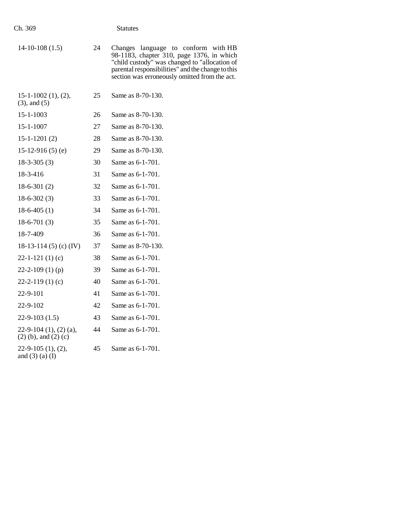| $14-10-108(1.5)$                                     | 24 | Changes language to conform with HB<br>98-1183, chapter 310, page 1376, in which<br>"child custody" was changed to "allocation of<br>parental responsibilities" and the change to this<br>section was erroneously omitted from the act. |
|------------------------------------------------------|----|-----------------------------------------------------------------------------------------------------------------------------------------------------------------------------------------------------------------------------------------|
| $15-1-1002$ $(1), (2),$<br>$(3)$ , and $(5)$         | 25 | Same as 8-70-130.                                                                                                                                                                                                                       |
| 15-1-1003                                            | 26 | Same as 8-70-130.                                                                                                                                                                                                                       |
| 15-1-1007                                            | 27 | Same as 8-70-130.                                                                                                                                                                                                                       |
| $15 - 1 - 1201(2)$                                   | 28 | Same as 8-70-130.                                                                                                                                                                                                                       |
| 15-12-916 $(5)$ $(e)$                                | 29 | Same as 8-70-130.                                                                                                                                                                                                                       |
| $18-3-305(3)$                                        | 30 | Same as 6-1-701.                                                                                                                                                                                                                        |
| 18-3-416                                             | 31 | Same as 6-1-701.                                                                                                                                                                                                                        |
| $18-6-301(2)$                                        | 32 | Same as 6-1-701.                                                                                                                                                                                                                        |
| $18-6-302(3)$                                        | 33 | Same as 6-1-701.                                                                                                                                                                                                                        |
| $18-6-405(1)$                                        | 34 | Same as 6-1-701.                                                                                                                                                                                                                        |
| $18-6-701(3)$                                        | 35 | Same as 6-1-701.                                                                                                                                                                                                                        |
| 18-7-409                                             | 36 | Same as 6-1-701.                                                                                                                                                                                                                        |
| 18-13-114 (5) (c) (IV)                               | 37 | Same as 8-70-130.                                                                                                                                                                                                                       |
| $22 - 1 - 121$ (1) (c)                               | 38 | Same as 6-1-701.                                                                                                                                                                                                                        |
| 22-2-109 $(1)$ $(p)$                                 | 39 | Same as 6-1-701.                                                                                                                                                                                                                        |
| $22 - 2 - 119(1)$ (c)                                | 40 | Same as 6-1-701.                                                                                                                                                                                                                        |
| 22-9-101                                             | 41 | Same as 6-1-701.                                                                                                                                                                                                                        |
| 22-9-102                                             | 42 | Same as 6-1-701.                                                                                                                                                                                                                        |
| $22-9-103(1.5)$                                      | 43 | Same as 6-1-701.                                                                                                                                                                                                                        |
| $22-9-104$ (1), (2) (a),<br>$(2)$ (b), and $(2)$ (c) | 44 | Same as 6-1-701.                                                                                                                                                                                                                        |
| $22-9-105(1), (2),$<br>and $(3)$ $(a)$ $(I)$         | 45 | Same as 6-1-701.                                                                                                                                                                                                                        |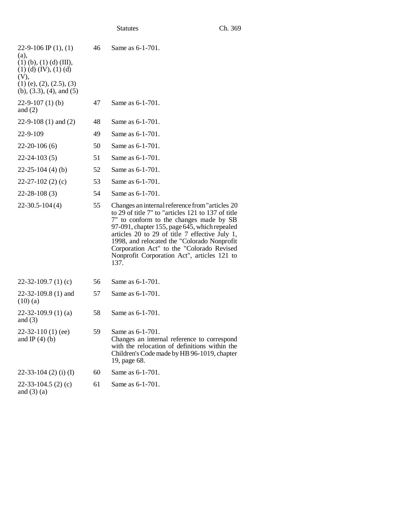| 22-9-106 IP $(1)$ , $(1)$<br>(a),<br>$(1)$ (b), $(1)$ (d) (III),<br>$(1)$ (d) (IV), (1) (d)<br>(V),<br>$(1)$ (e), $(2)$ , $(2.5)$ , $(3)$<br>$(b)$ , $(3.3)$ , $(4)$ , and $(5)$ | 46 | Same as 6-1-701.                                                                                                                                                                                                                                                                                                                                                                                       |
|----------------------------------------------------------------------------------------------------------------------------------------------------------------------------------|----|--------------------------------------------------------------------------------------------------------------------------------------------------------------------------------------------------------------------------------------------------------------------------------------------------------------------------------------------------------------------------------------------------------|
| $22-9-107(1)$ (b)<br>and $(2)$                                                                                                                                                   | 47 | Same as 6-1-701.                                                                                                                                                                                                                                                                                                                                                                                       |
| 22-9-108 $(1)$ and $(2)$                                                                                                                                                         | 48 | Same as 6-1-701.                                                                                                                                                                                                                                                                                                                                                                                       |
| 22-9-109                                                                                                                                                                         | 49 | Same as 6-1-701.                                                                                                                                                                                                                                                                                                                                                                                       |
| $22 - 20 - 106(6)$                                                                                                                                                               | 50 | Same as 6-1-701.                                                                                                                                                                                                                                                                                                                                                                                       |
| $22 - 24 - 103(5)$                                                                                                                                                               | 51 | Same as 6-1-701.                                                                                                                                                                                                                                                                                                                                                                                       |
| $22 - 25 - 104$ (4) (b)                                                                                                                                                          | 52 | Same as 6-1-701.                                                                                                                                                                                                                                                                                                                                                                                       |
| $22 - 27 - 102$ (2) (c)                                                                                                                                                          | 53 | Same as 6-1-701.                                                                                                                                                                                                                                                                                                                                                                                       |
| $22 - 28 - 108(3)$                                                                                                                                                               | 54 | Same as 6-1-701.                                                                                                                                                                                                                                                                                                                                                                                       |
| $22-30.5-104(4)$                                                                                                                                                                 | 55 | Changes an internal reference from "articles 20<br>to 29 of title 7" to "articles 121 to 137 of title<br>7" to conform to the changes made by SB<br>97-091, chapter 155, page 645, which repealed<br>articles 20 to 29 of title 7 effective July 1,<br>1998, and relocated the "Colorado Nonprofit<br>Corporation Act" to the "Colorado Revised<br>Nonprofit Corporation Act", articles 121 to<br>137. |
| 22-32-109.7 (1) (c)                                                                                                                                                              | 56 | Same as 6-1-701.                                                                                                                                                                                                                                                                                                                                                                                       |
| $22-32-109.8(1)$ and<br>$(10)$ (a)                                                                                                                                               | 57 | Same as 6-1-701.                                                                                                                                                                                                                                                                                                                                                                                       |
| $22-32-109.9(1)(a)$<br>and $(3)$                                                                                                                                                 | 58 | Same as 6-1-701.                                                                                                                                                                                                                                                                                                                                                                                       |
| $22-32-110(1)$ (ee)<br>and IP $(4)$ $(b)$                                                                                                                                        | 59 | Same as 6-1-701.<br>Changes an internal reference to correspond<br>with the relocation of definitions within the<br>Children's Code made by HB 96-1019, chapter<br>19, page 68.                                                                                                                                                                                                                        |
| $22-33-104$ (2) (i) (I)                                                                                                                                                          | 60 | Same as 6-1-701.                                                                                                                                                                                                                                                                                                                                                                                       |
| $22-33-104.5$ (2) (c)<br>and $(3)$ $(a)$                                                                                                                                         | 61 | Same as 6-1-701.                                                                                                                                                                                                                                                                                                                                                                                       |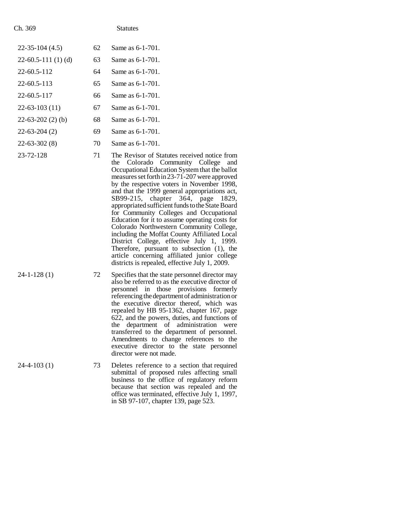| $22-35-104(4.5)$     | 62 | Same as 6-1-701.                                                                                    |
|----------------------|----|-----------------------------------------------------------------------------------------------------|
| $22-60.5-111(1)$ (d) | 63 | Same as 6-1-701.                                                                                    |
| 22-60.5-112          | 64 | Same as 6-1-701.                                                                                    |
| 22-60.5-113          | 65 | Same as 6-1-701.                                                                                    |
| 22-60.5-117          | 66 | Same as 6-1-701.                                                                                    |
| $22 - 63 - 103$ (11) | 67 | Same as 6-1-701.                                                                                    |
| $22-63-202(2)$ (b)   | 68 | Same as 6-1-701.                                                                                    |
| $22 - 63 - 204(2)$   | 69 | Same as 6-1-701.                                                                                    |
| $22 - 63 - 302(8)$   | 70 | Same as 6-1-701.                                                                                    |
| 23-72-128            | 71 | The Revisor of Statute<br>Colorado Com<br>the<br>Occupational Education<br>measures set forth in 23 |

- es received notice from munity College and on System that the ballot  $3-71-207$  were approved by the respective voters in November 1998, and that the 1999 general appropriations act, SB99-215, chapter 364, page 1829, appropriated sufficient funds to the State Board for Community Colleges and Occupational Education for it to assume operating costs for Colorado Northwestern Community College, including the Moffat County Affiliated Local District College, effective July 1, 1999. Therefore, pursuant to subsection (1), the article concerning affiliated junior college districts is repealed, effective July 1, 2009.
- 24-1-128 (1) 72 Specifies that the state personnel director may also be referred to as the executive director of personnel in those provisions formerly referencing the department of administration or the executive director thereof, which was repealed by HB 95-1362, chapter 167, page 622, and the powers, duties, and functions of the department of administration were transferred to the department of personnel. Amendments to change references to the executive director to the state personnel director were not made.
- 24-4-103 (1) 73 Deletes reference to a section that required submittal of proposed rules affecting small business to the office of regulatory reform because that section was repealed and the office was terminated, effective July 1, 1997, in SB 97-107, chapter 139, page 523.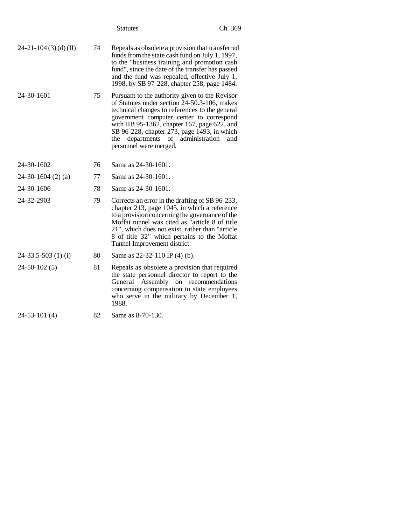|                         |    | <b>Statutes</b>                                                                                                                                                                                                                                                                                                                                              | Ch. 369 |
|-------------------------|----|--------------------------------------------------------------------------------------------------------------------------------------------------------------------------------------------------------------------------------------------------------------------------------------------------------------------------------------------------------------|---------|
| $24-21-104(3)$ (d) (II) | 74 | Repeals as obsolete a provision that transferred<br>funds from the state cash fund on July 1, 1997,<br>to the "business training and promotion cash<br>fund", since the date of the transfer has passed<br>and the fund was repealed, effective July 1,<br>1998, by SB 97-228, chapter 258, page 1484.                                                       |         |
| 24-30-1601              | 75 | Pursuant to the authority given to the Revisor<br>of Statutes under section 24-50.3-106, makes<br>technical changes to references to the general<br>government computer center to correspond<br>with HB 95-1362, chapter 167, page 622, and<br>SB 96-228, chapter 273, page 1493, in which<br>departments of administration<br>the<br>personnel were merged. | and     |
| 24-30-1602              | 76 | Same as 24-30-1601.                                                                                                                                                                                                                                                                                                                                          |         |
| $24-30-1604$ (2) (a)    | 77 | Same as 24-30-1601.                                                                                                                                                                                                                                                                                                                                          |         |
| 24-30-1606              | 78 | Same as 24-30-1601.                                                                                                                                                                                                                                                                                                                                          |         |
| 24-32-2903              | 79 | Corrects an error in the drafting of SB 96-233,<br>chapter 213, page 1045, in which a reference<br>to a provision concerning the governance of the<br>Moffat tunnel was cited as "article 8 of title"<br>21", which does not exist, rather than "article<br>8 of title 32" which pertains to the Moffat<br>Tunnel Improvement district.                      |         |
| $24-33.5-503(1)$ (i)    | 80 | Same as 22-32-110 IP (4) (b).                                                                                                                                                                                                                                                                                                                                |         |
| $24-50-102(5)$          | 81 | Repeals as obsolete a provision that required<br>the state personnel director to report to the<br>Assembly on recommendations<br>General<br>concerning compensation to state employees<br>who serve in the military by December 1,<br>1988.                                                                                                                  |         |
| $24-53-101(4)$          | 82 | Same as 8-70-130.                                                                                                                                                                                                                                                                                                                                            |         |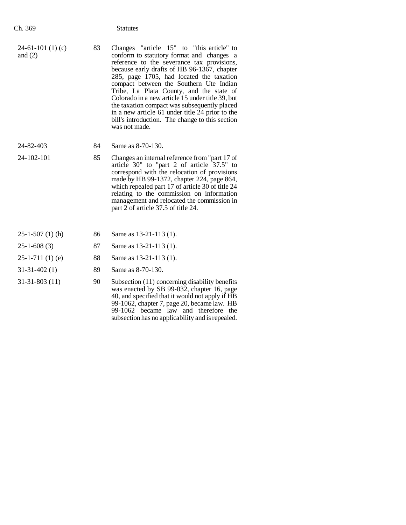| ı | <ດ<br>١r<br>r<br>-2 |
|---|---------------------|
|   |                     |

| $24-61-101(1)$ (c)<br>and $(2)$ | 83 | Changes "article 15" to "this article" to<br>conform to statutory format and changes a<br>reference to the severance tax provisions,<br>because early drafts of HB 96-1367, chapter<br>285, page 1705, had located the taxation<br>compact between the Southern Ute Indian<br>Tribe, La Plata County, and the state of<br>Colorado in a new article 15 under title 39, but<br>the taxation compact was subsequently placed<br>in a new article 61 under title 24 prior to the<br>bill's introduction. The change to this section<br>was not made. |
|---------------------------------|----|---------------------------------------------------------------------------------------------------------------------------------------------------------------------------------------------------------------------------------------------------------------------------------------------------------------------------------------------------------------------------------------------------------------------------------------------------------------------------------------------------------------------------------------------------|
|                                 |    |                                                                                                                                                                                                                                                                                                                                                                                                                                                                                                                                                   |

- 24-82-403 84 Same as 8-70-130.
- 

24-102-101 85 Changes an internal reference from "part 17 of article 30" to "part 2 of article 37.5" to correspond with the relocation of provisions made by HB 99-1372, chapter 224, page 864, which repealed part 17 of article 30 of title 24 relating to the commission on information management and relocated the commission in part 2 of article 37.5 of title 24.

> 99-1062, chapter 7, page 20, became law. HB 99-1062 became law and therefore the subsection has no applicability and is repealed.

| $25-1-507(1)$ (h) | 86 | Same as $13-21-113(1)$ .                                                                                                                        |
|-------------------|----|-------------------------------------------------------------------------------------------------------------------------------------------------|
| $25-1-608(3)$     | 87 | Same as $13-21-113(1)$ .                                                                                                                        |
| $25-1-711(1)$ (e) | 88 | Same as $13-21-113(1)$ .                                                                                                                        |
| $31-31-402(1)$    | 89 | Same as 8-70-130.                                                                                                                               |
| $31-31-803(11)$   | 90 | Subsection (11) concerning disability benefits<br>was enacted by SB 99-032, chapter 16, page<br>40, and specified that it would not apply if HB |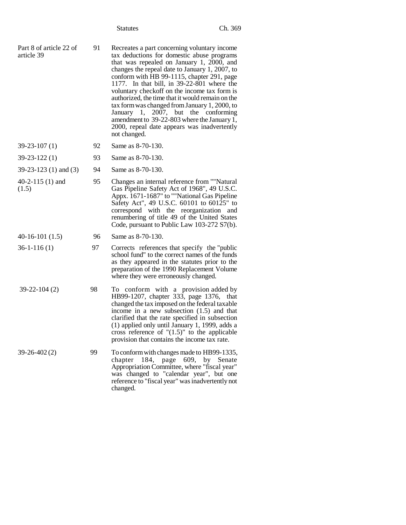|                                       |    | <b>Statutes</b>                                                                                                                                                                                                                                                                                                                                                                                                                                                                                                                                                                                    | Ch. 369 |
|---------------------------------------|----|----------------------------------------------------------------------------------------------------------------------------------------------------------------------------------------------------------------------------------------------------------------------------------------------------------------------------------------------------------------------------------------------------------------------------------------------------------------------------------------------------------------------------------------------------------------------------------------------------|---------|
| Part 8 of article 22 of<br>article 39 | 91 | Recreates a part concerning voluntary income<br>tax deductions for domestic abuse programs<br>that was repealed on January 1, 2000, and<br>changes the repeal date to January 1, 2007, to<br>conform with HB 99-1115, chapter 291, page<br>1177. In that bill, in 39-22-801 where the<br>voluntary checkoff on the income tax form is<br>authorized, the time that it would remain on the<br>tax form was changed from January 1, 2000, to<br>January<br>1, 2007, but the conforming<br>amendment to 39-22-803 where the January 1,<br>2000, repeal date appears was inadvertently<br>not changed. |         |
| $39-23-107(1)$                        | 92 | Same as 8-70-130.                                                                                                                                                                                                                                                                                                                                                                                                                                                                                                                                                                                  |         |
| $39 - 23 - 122(1)$                    | 93 | Same as 8-70-130.                                                                                                                                                                                                                                                                                                                                                                                                                                                                                                                                                                                  |         |
| $39-23-123$ (1) and (3)               | 94 | Same as 8-70-130.                                                                                                                                                                                                                                                                                                                                                                                                                                                                                                                                                                                  |         |
| 40-2-115 $(1)$ and<br>(1.5)           | 95 | Changes an internal reference from ""Natural<br>Gas Pipeline Safety Act of 1968", 49 U.S.C.<br>Appx. 1671-1687" to ""National Gas Pipeline<br>Safety Act", 49 U.S.C. 60101 to 60125" to<br>correspond with the reorganization<br>renumbering of title 49 of the United States<br>Code, pursuant to Public Law 103-272 S7(b).                                                                                                                                                                                                                                                                       | and     |
| $40-16-101(1.5)$                      | 96 | Same as 8-70-130.                                                                                                                                                                                                                                                                                                                                                                                                                                                                                                                                                                                  |         |
| $36-1-116(1)$                         | 97 | Corrects references that specify the "public"<br>school fund" to the correct names of the funds<br>as they appeared in the statutes prior to the<br>preparation of the 1990 Replacement Volume<br>where they were erroneously changed.                                                                                                                                                                                                                                                                                                                                                             |         |
| 39-22-104 (2)                         | 98 | To conform with a provision added by<br>HB99-1207, chapter 333, page 1376,<br>changed the tax imposed on the federal taxable<br>income in a new subsection $(1.5)$ and that<br>clarified that the rate specified in subsection<br>(1) applied only until January 1, 1999, adds a<br>cross reference of " $(1.5)$ " to the applicable<br>provision that contains the income tax rate.                                                                                                                                                                                                               | that    |
| $39 - 26 - 402(2)$                    | 99 | To conform with changes made to HB99-1335,<br>184, page 609, by Senate<br>chapter<br>Appropriation Committee, where "fiscal year"<br>was changed to "calendar year", but one<br>reference to "fiscal year" was inadvertently not<br>changed.                                                                                                                                                                                                                                                                                                                                                       |         |